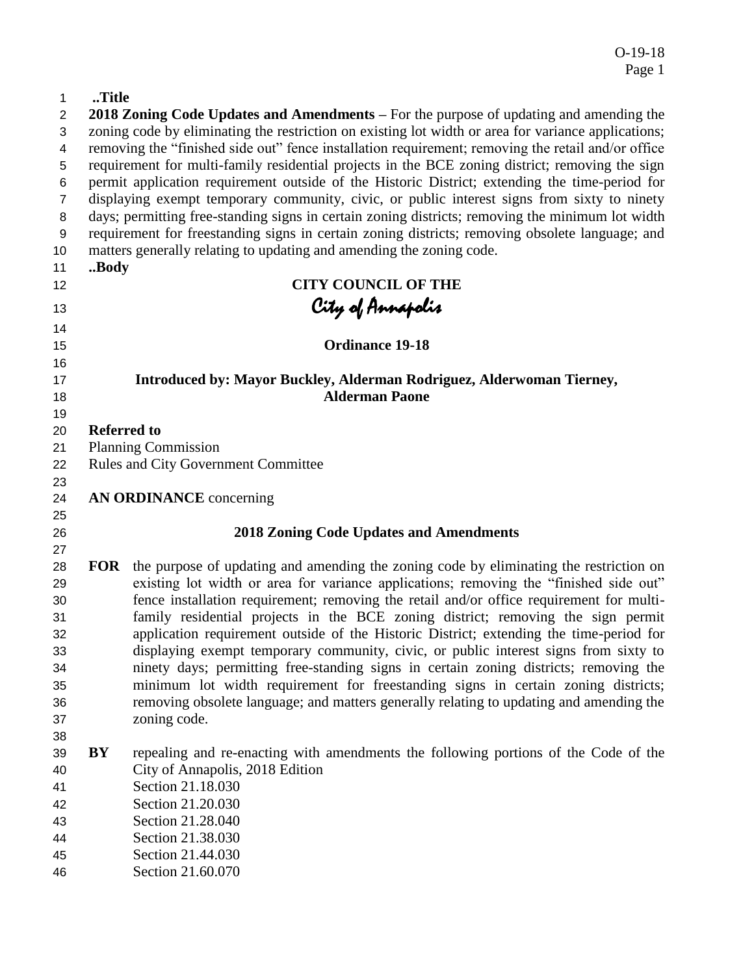# **..Title**

| 2              |                    | 2018 Zoning Code Updates and Amendments – For the purpose of updating and amending the              |
|----------------|--------------------|-----------------------------------------------------------------------------------------------------|
| 3              |                    | zoning code by eliminating the restriction on existing lot width or area for variance applications; |
| 4              |                    | removing the "finished side out" fence installation requirement; removing the retail and/or office  |
| 5              |                    | requirement for multi-family residential projects in the BCE zoning district; removing the sign     |
| 6              |                    | permit application requirement outside of the Historic District; extending the time-period for      |
| $\overline{7}$ |                    | displaying exempt temporary community, civic, or public interest signs from sixty to ninety         |
| 8              |                    | days; permitting free-standing signs in certain zoning districts; removing the minimum lot width    |
| 9              |                    | requirement for freestanding signs in certain zoning districts; removing obsolete language; and     |
| 10             |                    | matters generally relating to updating and amending the zoning code.                                |
| 11             | Body               |                                                                                                     |
| 12             |                    | <b>CITY COUNCIL OF THE</b>                                                                          |
| 13             |                    | City of Annapolis                                                                                   |
| 14             |                    |                                                                                                     |
| 15             |                    | <b>Ordinance 19-18</b>                                                                              |
| 16             |                    |                                                                                                     |
| 17             |                    | Introduced by: Mayor Buckley, Alderman Rodriguez, Alderwoman Tierney,                               |
| 18             |                    | <b>Alderman Paone</b>                                                                               |
| 19             |                    |                                                                                                     |
| 20             | <b>Referred to</b> |                                                                                                     |
| 21             |                    | <b>Planning Commission</b>                                                                          |
| 22             |                    | <b>Rules and City Government Committee</b>                                                          |
| 23             |                    |                                                                                                     |
| 24<br>25       |                    | <b>AN ORDINANCE</b> concerning                                                                      |
| 26             |                    | <b>2018 Zoning Code Updates and Amendments</b>                                                      |
| 27             |                    |                                                                                                     |
| 28             | <b>FOR</b>         | the purpose of updating and amending the zoning code by eliminating the restriction on              |
| 29             |                    | existing lot width or area for variance applications; removing the "finished side out"              |
| 30             |                    | fence installation requirement; removing the retail and/or office requirement for multi-            |
| 31             |                    | family residential projects in the BCE zoning district; removing the sign permit                    |
| 32             |                    | application requirement outside of the Historic District; extending the time-period for             |
| 33             |                    | displaying exempt temporary community, civic, or public interest signs from sixty to                |
| 34             |                    | ninety days; permitting free-standing signs in certain zoning districts; removing the               |
| 35             |                    | minimum lot width requirement for freestanding signs in certain zoning districts;                   |
| 36             |                    | removing obsolete language; and matters generally relating to updating and amending the             |
| 37             |                    | zoning code.                                                                                        |
| 38             |                    |                                                                                                     |
| 39             | BY                 | repealing and re-enacting with amendments the following portions of the Code of the                 |
| 40             |                    | City of Annapolis, 2018 Edition                                                                     |
| 41             |                    | Section 21.18.030                                                                                   |
| 42             |                    | Section 21.20.030                                                                                   |
| 43             |                    | Section 21.28.040                                                                                   |
| 44             |                    | Section 21.38.030                                                                                   |
| 45             |                    | Section 21.44.030                                                                                   |
| 46             |                    | Section 21.60.070                                                                                   |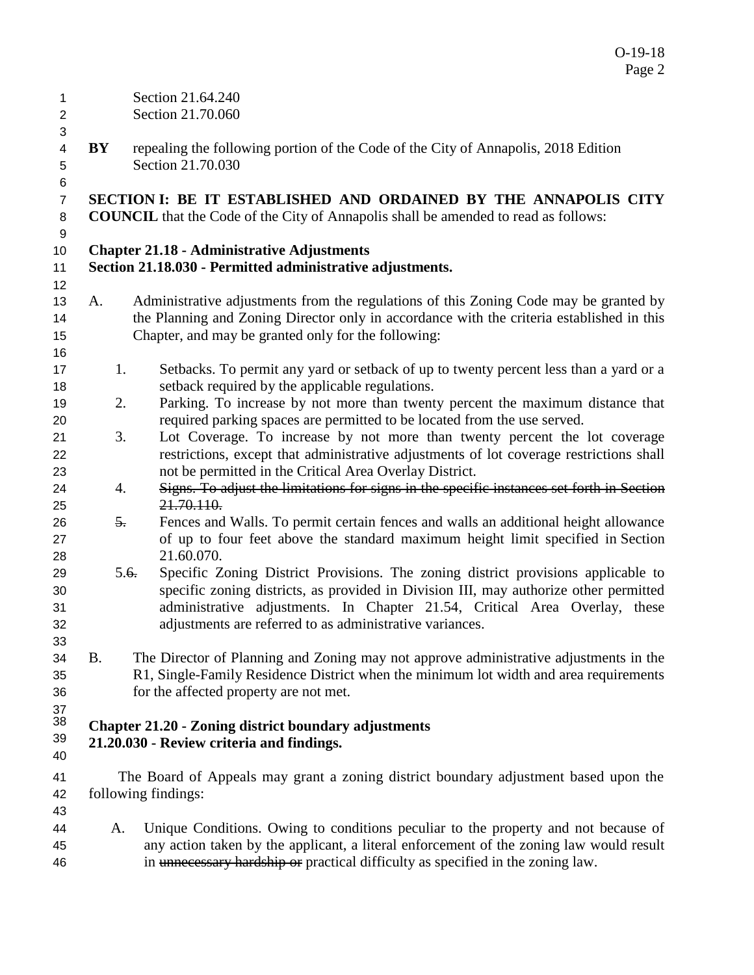| 1<br>$\overline{c}$                 |                  | Section 21.64.240<br>Section 21.70.060                                                                                                                                             |
|-------------------------------------|------------------|------------------------------------------------------------------------------------------------------------------------------------------------------------------------------------|
| 3<br>4<br>5                         | BY               | repealing the following portion of the Code of the City of Annapolis, 2018 Edition<br>Section 21.70.030                                                                            |
| 6<br>$\overline{7}$<br>$\,8\,$<br>9 |                  | SECTION I: BE IT ESTABLISHED AND ORDAINED BY THE ANNAPOLIS CITY<br><b>COUNCIL</b> that the Code of the City of Annapolis shall be amended to read as follows:                      |
| 10                                  |                  | <b>Chapter 21.18 - Administrative Adjustments</b>                                                                                                                                  |
| 11                                  |                  | Section 21.18.030 - Permitted administrative adjustments.                                                                                                                          |
| 12                                  |                  |                                                                                                                                                                                    |
| 13<br>14                            | A.               | Administrative adjustments from the regulations of this Zoning Code may be granted by<br>the Planning and Zoning Director only in accordance with the criteria established in this |
| 15                                  |                  | Chapter, and may be granted only for the following:                                                                                                                                |
| 16<br>17                            | 1.               | Setbacks. To permit any yard or setback of up to twenty percent less than a yard or a                                                                                              |
| 18                                  |                  | setback required by the applicable regulations.                                                                                                                                    |
| 19                                  | 2.               | Parking. To increase by not more than twenty percent the maximum distance that                                                                                                     |
| 20                                  |                  | required parking spaces are permitted to be located from the use served.                                                                                                           |
| 21                                  | 3.               | Lot Coverage. To increase by not more than twenty percent the lot coverage                                                                                                         |
| 22                                  |                  | restrictions, except that administrative adjustments of lot coverage restrictions shall                                                                                            |
| 23                                  |                  | not be permitted in the Critical Area Overlay District.                                                                                                                            |
| 24                                  | 4.               | Signs. To adjust the limitations for signs in the specific instances set forth in Section                                                                                          |
| 25                                  |                  | 21.70.110.                                                                                                                                                                         |
| 26                                  | $\overline{5}$ . | Fences and Walls. To permit certain fences and walls an additional height allowance                                                                                                |
| 27                                  |                  | of up to four feet above the standard maximum height limit specified in Section                                                                                                    |
| 28                                  |                  | 21.60.070.                                                                                                                                                                         |
| 29                                  | 5.6.             | Specific Zoning District Provisions. The zoning district provisions applicable to                                                                                                  |
| 30                                  |                  | specific zoning districts, as provided in Division III, may authorize other permitted                                                                                              |
| 31                                  |                  | administrative adjustments. In Chapter 21.54, Critical Area Overlay, these                                                                                                         |
| 32                                  |                  | adjustments are referred to as administrative variances.                                                                                                                           |
| 33                                  |                  |                                                                                                                                                                                    |
| 34                                  | <b>B.</b>        | The Director of Planning and Zoning may not approve administrative adjustments in the                                                                                              |
| 35                                  |                  | R1, Single-Family Residence District when the minimum lot width and area requirements                                                                                              |
| 36                                  |                  | for the affected property are not met.                                                                                                                                             |
| 37                                  |                  |                                                                                                                                                                                    |
| 38                                  |                  | <b>Chapter 21.20 - Zoning district boundary adjustments</b>                                                                                                                        |
| 39                                  |                  | 21.20.030 - Review criteria and findings.                                                                                                                                          |
| 40                                  |                  |                                                                                                                                                                                    |
| 41                                  |                  | The Board of Appeals may grant a zoning district boundary adjustment based upon the                                                                                                |
| 42                                  |                  | following findings:                                                                                                                                                                |
| 43                                  |                  |                                                                                                                                                                                    |
| 44                                  | A.               | Unique Conditions. Owing to conditions peculiar to the property and not because of                                                                                                 |
| 45<br>46                            |                  | any action taken by the applicant, a literal enforcement of the zoning law would result<br>in unnecessary hardship or practical difficulty as specified in the zoning law.         |

O-19-18 Page 2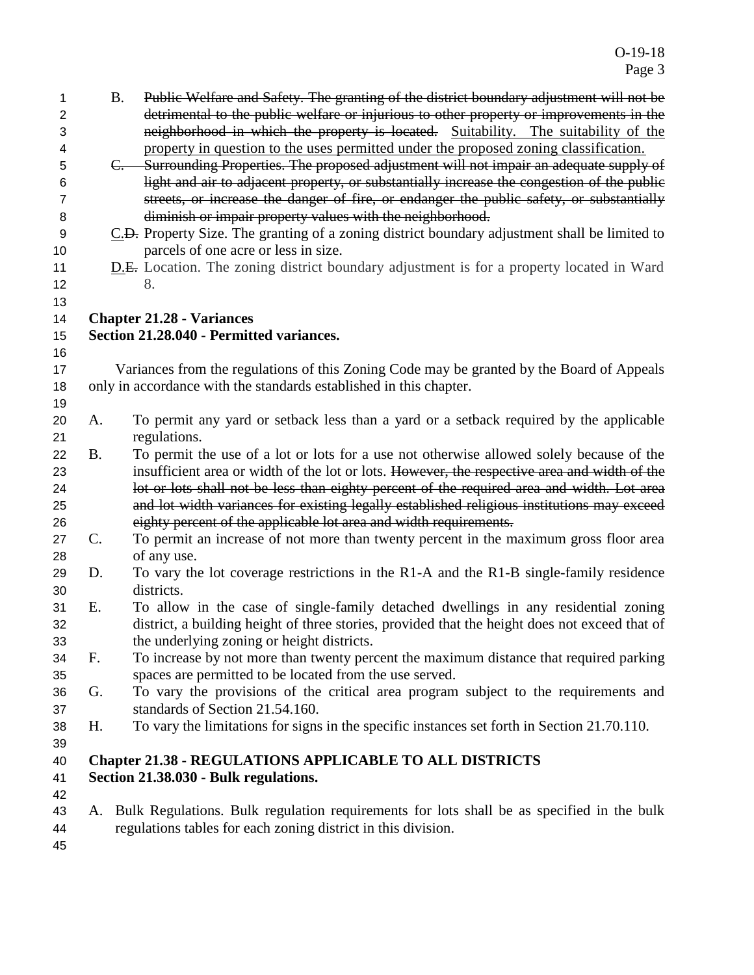| 1              |           | Public Welfare and Safety. The granting of the district boundary adjustment will not be<br><b>B.</b> |
|----------------|-----------|------------------------------------------------------------------------------------------------------|
| 2              |           | detrimental to the public welfare or injurious to other property or improvements in the              |
| 3              |           | neighborhood in which the property is located. Suitability. The suitability of the                   |
| 4              |           | property in question to the uses permitted under the proposed zoning classification.                 |
| 5              |           | C. Surrounding Properties. The proposed adjustment will not impair an adequate supply of             |
| 6              |           | light and air to adjacent property, or substantially increase the congestion of the public           |
| $\overline{7}$ |           | streets, or increase the danger of fire, or endanger the public safety, or substantially             |
| 8              |           | diminish or impair property values with the neighborhood.                                            |
| 9              |           | C.D. Property Size. The granting of a zoning district boundary adjustment shall be limited to        |
| 10             |           | parcels of one acre or less in size.                                                                 |
| 11             |           | <b>D.E.</b> Location. The zoning district boundary adjustment is for a property located in Ward      |
| 12             |           | 8.                                                                                                   |
| 13             |           |                                                                                                      |
| 14             |           | <b>Chapter 21.28 - Variances</b>                                                                     |
| 15             |           | Section 21.28.040 - Permitted variances.                                                             |
| 16             |           |                                                                                                      |
| 17             |           | Variances from the regulations of this Zoning Code may be granted by the Board of Appeals            |
| 18             |           | only in accordance with the standards established in this chapter.                                   |
| 19             |           |                                                                                                      |
| 20             | A.        | To permit any yard or setback less than a yard or a setback required by the applicable               |
| 21             |           | regulations.                                                                                         |
| 22             | <b>B.</b> | To permit the use of a lot or lots for a use not otherwise allowed solely because of the             |
| 23             |           | insufficient area or width of the lot or lots. However, the respective area and width of the         |
| 24             |           | lot or lots shall not be less than eighty percent of the required area and width. Lot area           |
| 25             |           | and lot width variances for existing legally established religious institutions may exceed           |
| 26             |           | eighty percent of the applicable lot area and width requirements.                                    |
| 27             | C.        | To permit an increase of not more than twenty percent in the maximum gross floor area                |
| 28             |           | of any use.                                                                                          |
| 29             | D.        | To vary the lot coverage restrictions in the R1-A and the R1-B single-family residence               |
| 30             |           | districts.                                                                                           |
| 31             | E.        | To allow in the case of single-family detached dwellings in any residential zoning                   |
| 32             |           | district, a building height of three stories, provided that the height does not exceed that of       |
| 33             |           | the underlying zoning or height districts.                                                           |
| 34             | F.        | To increase by not more than twenty percent the maximum distance that required parking               |
| 35             |           | spaces are permitted to be located from the use served.                                              |
| 36             | G.        | To vary the provisions of the critical area program subject to the requirements and                  |
| 37             |           | standards of Section 21.54.160.                                                                      |
| 38             | Н.        | To vary the limitations for signs in the specific instances set forth in Section 21.70.110.          |
| 39             |           |                                                                                                      |
| 40             |           | <b>Chapter 21.38 - REGULATIONS APPLICABLE TO ALL DISTRICTS</b>                                       |
| 41             |           | Section 21.38.030 - Bulk regulations.                                                                |
| 42             |           |                                                                                                      |
| 43             |           | A. Bulk Regulations. Bulk regulation requirements for lots shall be as specified in the bulk         |
| 44             |           | regulations tables for each zoning district in this division.                                        |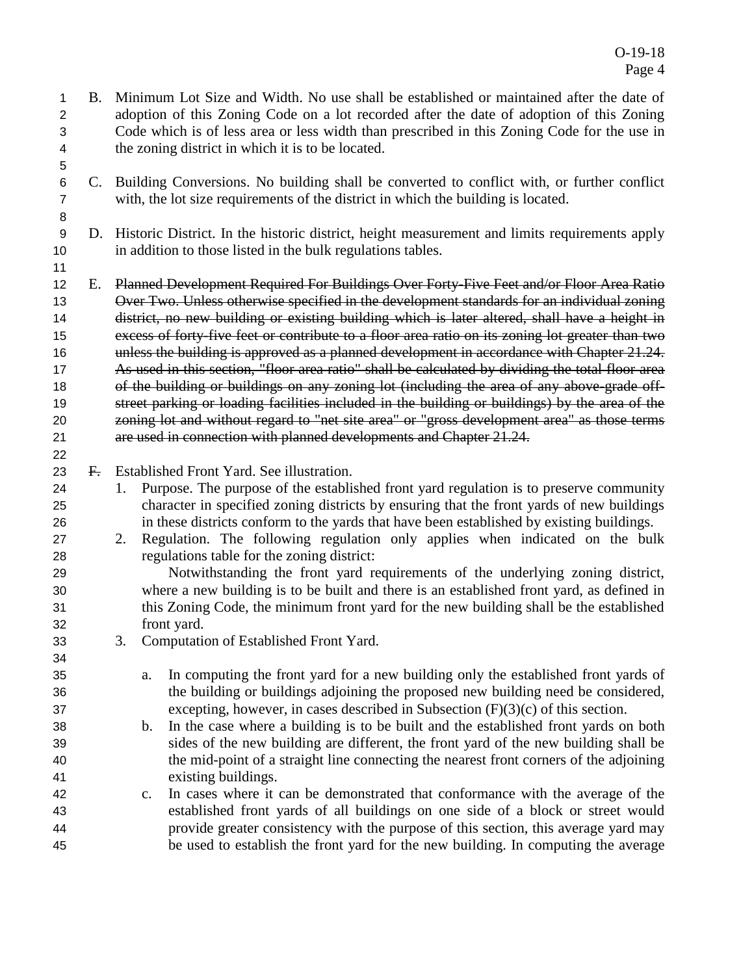- B. Minimum Lot Size and Width. No use shall be established or maintained after the date of adoption of this Zoning Code on a lot recorded after the date of adoption of this Zoning Code which is of less area or less width than prescribed in this Zoning Code for the use in the zoning district in which it is to be located.
- C. Building Conversions. No building shall be converted to conflict with, or further conflict with, the lot size requirements of the district in which the building is located.
- D. Historic District. In the historic district, height measurement and limits requirements apply in addition to those listed in the bulk regulations tables.
- 

12 E. Planned Development Required For Buildings Over Forty-Five Feet and/or Floor Area Ratio 13 Over Two. Unless otherwise specified in the development standards for an individual zoning district, no new building or existing building which is later altered, shall have a height in excess of forty-five feet or contribute to a floor area ratio on its zoning lot greater than two 16 unless the building is approved as a planned development in accordance with Chapter 21.24. 17 As used in this section, "floor area ratio" shall be calculated by dividing the total floor area 18 of the building or buildings on any zoning lot (including the area of any above-grade off- street parking or loading facilities included in the building or buildings) by the area of the zoning lot and without regard to "net site area" or "gross development area" as those terms are used in connection with planned developments and Chapter 21.24.

- F. Established Front Yard. See illustration.
- 1. Purpose. The purpose of the established front yard regulation is to preserve community character in specified zoning districts by ensuring that the front yards of new buildings in these districts conform to the yards that have been established by existing buildings.
- 2. Regulation. The following regulation only applies when indicated on the bulk regulations table for the zoning district:

 Notwithstanding the front yard requirements of the underlying zoning district, where a new building is to be built and there is an established front yard, as defined in this Zoning Code, the minimum front yard for the new building shall be the established front yard.

- 3. Computation of Established Front Yard.
- a. In computing the front yard for a new building only the established front yards of the building or buildings adjoining the proposed new building need be considered, excepting, however, in cases described in Subsection (F)(3)(c) of this section.
- b. In the case where a building is to be built and the established front yards on both sides of the new building are different, the front yard of the new building shall be the mid-point of a straight line connecting the nearest front corners of the adjoining existing buildings.
- c. In cases where it can be demonstrated that conformance with the average of the established front yards of all buildings on one side of a block or street would provide greater consistency with the purpose of this section, this average yard may be used to establish the front yard for the new building. In computing the average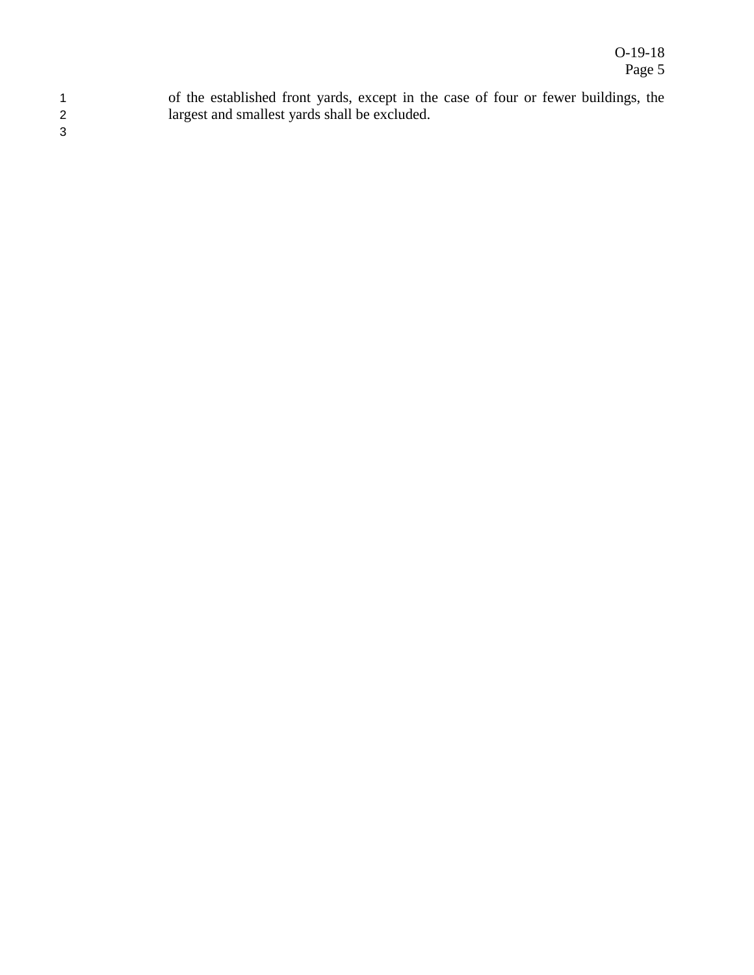1 of the established front yards, except in the case of four or fewer buildings, the 2 largest and smallest yards shall be excluded.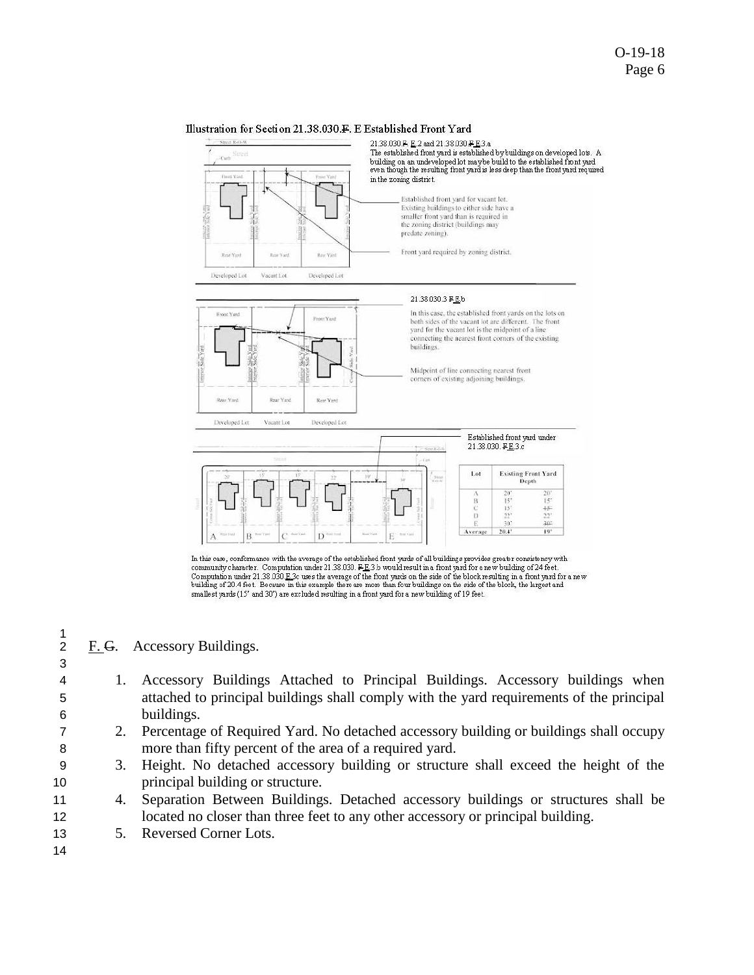#### Illustration for Section 21.38.030.F. E Established Front Yard



In this case, conformance with the average of the established front yards of all buildings provides greater consistency with community character. Computation under 21.38.030.  $F_E$ 3.b would result in a front yard for a new building of 24 feet.<br>Computation under 21.38.030 E.3c uses the average of the front yards on the side of the block resulting building of 20.4 feet. Because in this example there are more than four buildings on the side of the block, the largest and smallest yards (15' and 30') are excluded resulting in a front yard for a new building of 19 feet.

#### F. G. Accessory Buildings.

- 4 1. Accessory Buildings Attached to Principal Buildings. Accessory buildings when 5 attached to principal buildings shall comply with the yard requirements of the principal 6 buildings.
- 7 2. Percentage of Required Yard. No detached accessory building or buildings shall occupy 8 more than fifty percent of the area of a required yard.
- 9 3. Height. No detached accessory building or structure shall exceed the height of the 10 principal building or structure.
- 11 4. Separation Between Buildings. Detached accessory buildings or structures shall be 12 located no closer than three feet to any other accessory or principal building.
- 13 5. Reversed Corner Lots.
- 14

 $\frac{1}{2}$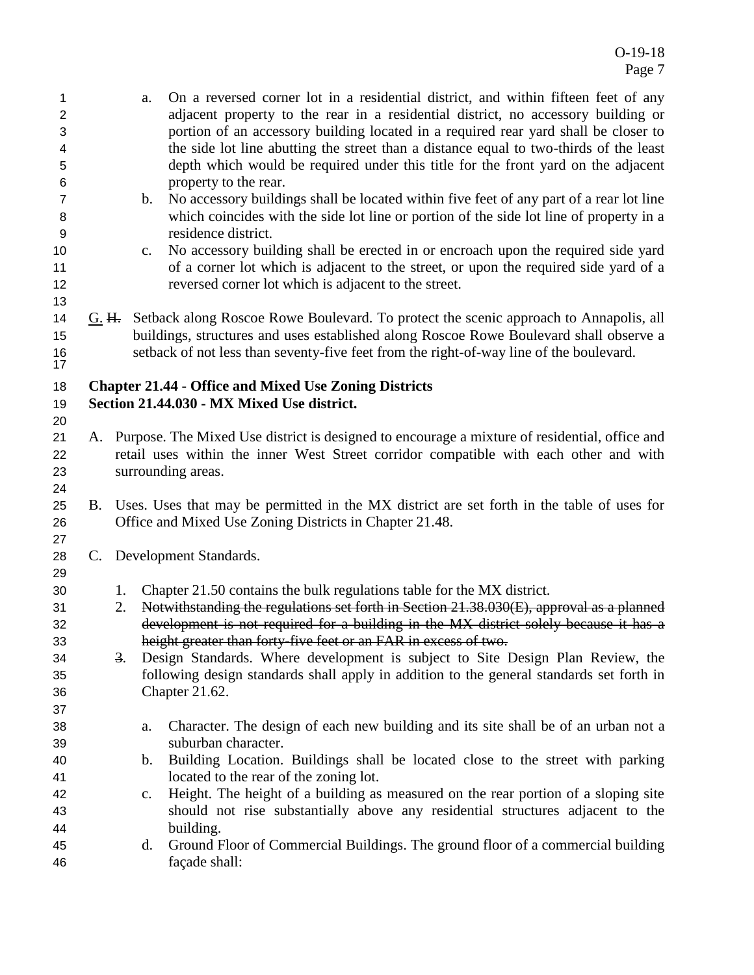- a. On a reversed corner lot in a residential district, and within fifteen feet of any adjacent property to the rear in a residential district, no accessory building or portion of an accessory building located in a required rear yard shall be closer to the side lot line abutting the street than a distance equal to two-thirds of the least depth which would be required under this title for the front yard on the adjacent property to the rear.
- b. No accessory buildings shall be located within five feet of any part of a rear lot line which coincides with the side lot line or portion of the side lot line of property in a residence district.
- c. No accessory building shall be erected in or encroach upon the required side yard 11 of a corner lot which is adjacent to the street, or upon the required side yard of a reversed corner lot which is adjacent to the street.
- 14 G. H. Setback along Roscoe Rowe Boulevard. To protect the scenic approach to Annapolis, all buildings, structures and uses established along Roscoe Rowe Boulevard shall observe a setback of not less than seventy-five feet from the right-of-way line of the boulevard.

# **Chapter 21.44 - Office and Mixed Use Zoning Districts**

**Section 21.44.030 - MX Mixed Use district.** 

- A. Purpose. The Mixed Use district is designed to encourage a mixture of residential, office and retail uses within the inner West Street corridor compatible with each other and with surrounding areas.
- B. Uses. Uses that may be permitted in the MX district are set forth in the table of uses for Office and Mixed Use Zoning Districts in Chapter 21.48.
- C. Development Standards.

- 1. Chapter 21.50 contains the bulk regulations table for the MX district.
- 2. Notwithstanding the regulations set forth in Section 21.38.030(E), approval as a planned development is not required for a building in the MX district solely because it has a height greater than forty-five feet or an FAR in excess of two.
- 3. Design Standards. Where development is subject to Site Design Plan Review, the following design standards shall apply in addition to the general standards set forth in Chapter 21.62.
- a. Character. The design of each new building and its site shall be of an urban not a suburban character.
- b. Building Location. Buildings shall be located close to the street with parking located to the rear of the zoning lot.
- c. Height. The height of a building as measured on the rear portion of a sloping site should not rise substantially above any residential structures adjacent to the building.
- d. Ground Floor of Commercial Buildings. The ground floor of a commercial building façade shall: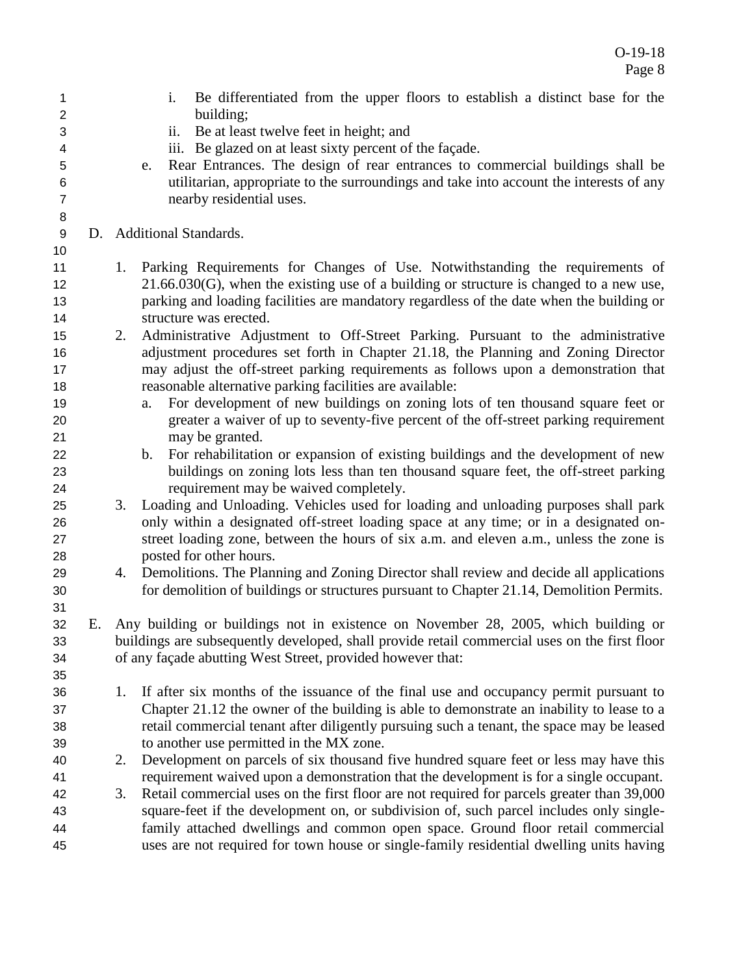| 1              |    |    | Be differentiated from the upper floors to establish a distinct base for the<br>i.                 |
|----------------|----|----|----------------------------------------------------------------------------------------------------|
| $\overline{2}$ |    |    | building;                                                                                          |
| 3              |    |    | Be at least twelve feet in height; and<br>ii.                                                      |
| 4              |    |    | iii. Be glazed on at least sixty percent of the façade.                                            |
| 5              |    |    | Rear Entrances. The design of rear entrances to commercial buildings shall be<br>e.                |
| 6              |    |    | utilitarian, appropriate to the surroundings and take into account the interests of any            |
| $\overline{7}$ |    |    | nearby residential uses.                                                                           |
| 8              |    |    |                                                                                                    |
| 9              |    |    | D. Additional Standards.                                                                           |
| 10             |    |    |                                                                                                    |
| 11             |    |    | 1. Parking Requirements for Changes of Use. Notwithstanding the requirements of                    |
| 12             |    |    | $21.66.030(G)$ , when the existing use of a building or structure is changed to a new use,         |
| 13             |    |    | parking and loading facilities are mandatory regardless of the date when the building or           |
| 14             |    |    | structure was erected.                                                                             |
| 15             |    | 2. | Administrative Adjustment to Off-Street Parking. Pursuant to the administrative                    |
| 16             |    |    | adjustment procedures set forth in Chapter 21.18, the Planning and Zoning Director                 |
| 17             |    |    | may adjust the off-street parking requirements as follows upon a demonstration that                |
| 18             |    |    | reasonable alternative parking facilities are available:                                           |
| 19             |    |    | For development of new buildings on zoning lots of ten thousand square feet or<br>a.               |
| 20             |    |    | greater a waiver of up to seventy-five percent of the off-street parking requirement               |
| 21             |    |    | may be granted.                                                                                    |
| 22             |    |    | For rehabilitation or expansion of existing buildings and the development of new<br>$\mathbf{b}$ . |
| 23             |    |    | buildings on zoning lots less than ten thousand square feet, the off-street parking                |
| 24             |    |    | requirement may be waived completely.                                                              |
| 25             |    | 3. | Loading and Unloading. Vehicles used for loading and unloading purposes shall park                 |
| 26             |    |    | only within a designated off-street loading space at any time; or in a designated on-              |
| 27             |    |    | street loading zone, between the hours of six a.m. and eleven a.m., unless the zone is             |
|                |    |    | posted for other hours.                                                                            |
| 28             |    |    |                                                                                                    |
| 29             |    | 4. | Demolitions. The Planning and Zoning Director shall review and decide all applications             |
| 30             |    |    | for demolition of buildings or structures pursuant to Chapter 21.14, Demolition Permits.           |
| 31             |    |    |                                                                                                    |
| 32             | Е. |    | Any building or buildings not in existence on November 28, 2005, which building or                 |
| 33             |    |    | buildings are subsequently developed, shall provide retail commercial uses on the first floor      |
| 34             |    |    | of any façade abutting West Street, provided however that:                                         |
| 35             |    |    |                                                                                                    |
| 36             |    | 1. | If after six months of the issuance of the final use and occupancy permit pursuant to              |
| 37             |    |    | Chapter 21.12 the owner of the building is able to demonstrate an inability to lease to a          |
| 38             |    |    | retail commercial tenant after diligently pursuing such a tenant, the space may be leased          |
| 39             |    |    | to another use permitted in the MX zone.                                                           |
| 40             |    | 2. | Development on parcels of six thousand five hundred square feet or less may have this              |
| 41             |    |    | requirement waived upon a demonstration that the development is for a single occupant.             |
| 42             |    | 3. | Retail commercial uses on the first floor are not required for parcels greater than 39,000         |
| 43             |    |    | square-feet if the development on, or subdivision of, such parcel includes only single-            |
| 44             |    |    | family attached dwellings and common open space. Ground floor retail commercial                    |
| 45             |    |    | uses are not required for town house or single-family residential dwelling units having            |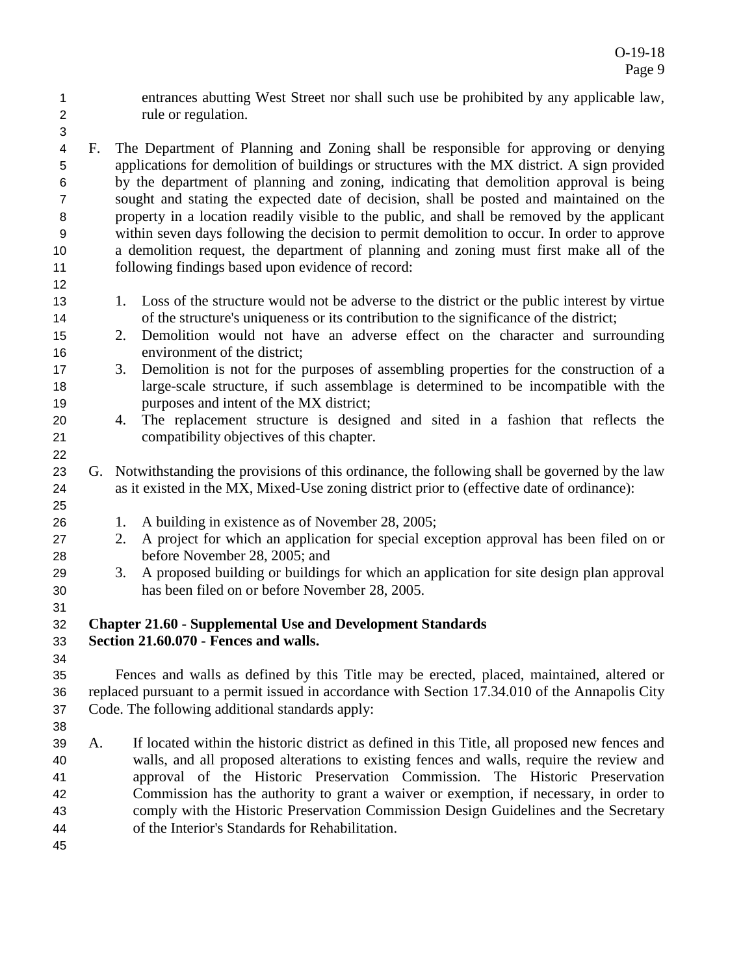- entrances abutting West Street nor shall such use be prohibited by any applicable law, rule or regulation.
- F. The Department of Planning and Zoning shall be responsible for approving or denying applications for demolition of buildings or structures with the MX district. A sign provided by the department of planning and zoning, indicating that demolition approval is being sought and stating the expected date of decision, shall be posted and maintained on the property in a location readily visible to the public, and shall be removed by the applicant within seven days following the decision to permit demolition to occur. In order to approve a demolition request, the department of planning and zoning must first make all of the following findings based upon evidence of record:
- 1. Loss of the structure would not be adverse to the district or the public interest by virtue of the structure's uniqueness or its contribution to the significance of the district;
- 2. Demolition would not have an adverse effect on the character and surrounding environment of the district;
- 3. Demolition is not for the purposes of assembling properties for the construction of a large-scale structure, if such assemblage is determined to be incompatible with the purposes and intent of the MX district;
- 4. The replacement structure is designed and sited in a fashion that reflects the compatibility objectives of this chapter.
- G. Notwithstanding the provisions of this ordinance, the following shall be governed by the law as it existed in the MX, Mixed-Use zoning district prior to (effective date of ordinance):
- 26 1. A building in existence as of November 28, 2005;
- 2. A project for which an application for special exception approval has been filed on or before November 28, 2005; and
- 3. A proposed building or buildings for which an application for site design plan approval has been filed on or before November 28, 2005.

## **Chapter 21.60 - Supplemental Use and Development Standards**

# **Section 21.60.070 - Fences and walls.**

- Fences and walls as defined by this Title may be erected, placed, maintained, altered or replaced pursuant to a permit issued in accordance with Section 17.34.010 of the Annapolis City Code. The following additional standards apply:
- A. If located within the historic district as defined in this Title, all proposed new fences and walls, and all proposed alterations to existing fences and walls, require the review and approval of the Historic Preservation Commission. The Historic Preservation Commission has the authority to grant a waiver or exemption, if necessary, in order to comply with the Historic Preservation Commission Design Guidelines and the Secretary of the Interior's Standards for Rehabilitation.
-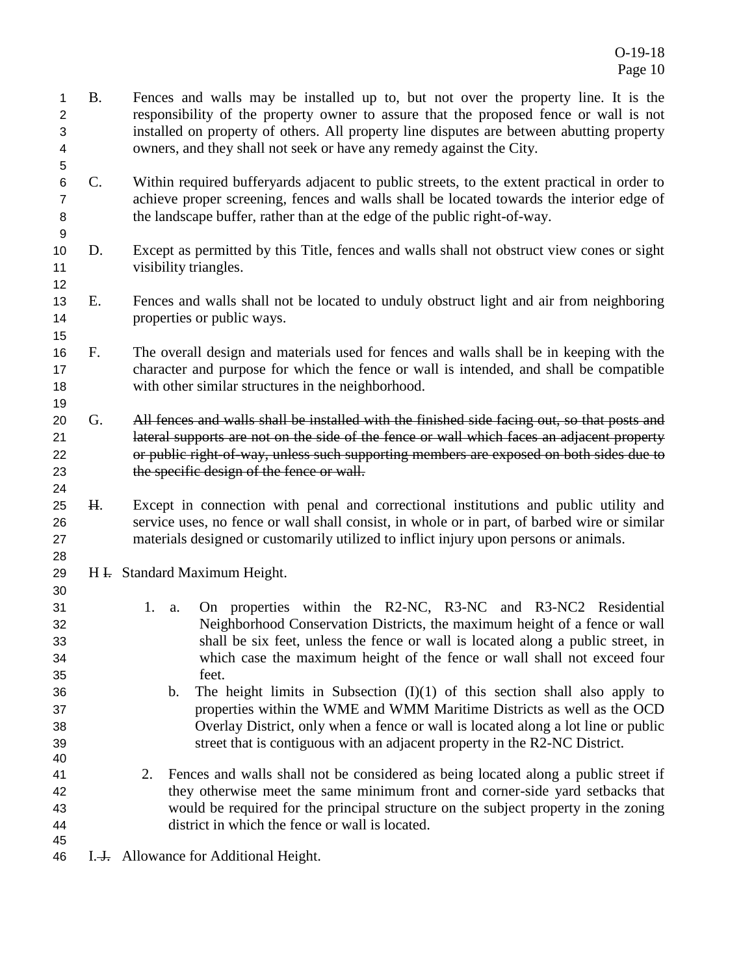- B. Fences and walls may be installed up to, but not over the property line. It is the responsibility of the property owner to assure that the proposed fence or wall is not installed on property of others. All property line disputes are between abutting property owners, and they shall not seek or have any remedy against the City.
- C. Within required bufferyards adjacent to public streets, to the extent practical in order to achieve proper screening, fences and walls shall be located towards the interior edge of the landscape buffer, rather than at the edge of the public right-of-way.
- D. Except as permitted by this Title, fences and walls shall not obstruct view cones or sight visibility triangles.
- E. Fences and walls shall not be located to unduly obstruct light and air from neighboring properties or public ways.
- F. The overall design and materials used for fences and walls shall be in keeping with the character and purpose for which the fence or wall is intended, and shall be compatible with other similar structures in the neighborhood.
- 20 G. All fences and walls shall be installed with the finished side facing out, so that posts and lateral supports are not on the side of the fence or wall which faces an adjacent property or public right-of-way, unless such supporting members are exposed on both sides due to 23 the specific design of the fence or wall.
- H. Except in connection with penal and correctional institutions and public utility and service uses, no fence or wall shall consist, in whole or in part, of barbed wire or similar materials designed or customarily utilized to inflict injury upon persons or animals.
- 29 H <del>I.</del> Standard Maximum Height.
- 1. a. On properties within the R2-NC, R3-NC and R3-NC2 Residential Neighborhood Conservation Districts, the maximum height of a fence or wall shall be six feet, unless the fence or wall is located along a public street, in which case the maximum height of the fence or wall shall not exceed four feet.
- 36 b. The height limits in Subsection  $(I)(1)$  of this section shall also apply to properties within the WME and WMM Maritime Districts as well as the OCD Overlay District, only when a fence or wall is located along a lot line or public street that is contiguous with an adjacent property in the R2-NC District.
- 2. Fences and walls shall not be considered as being located along a public street if they otherwise meet the same minimum front and corner-side yard setbacks that would be required for the principal structure on the subject property in the zoning district in which the fence or wall is located.
- 

46 I.<del>J.</del> Allowance for Additional Height.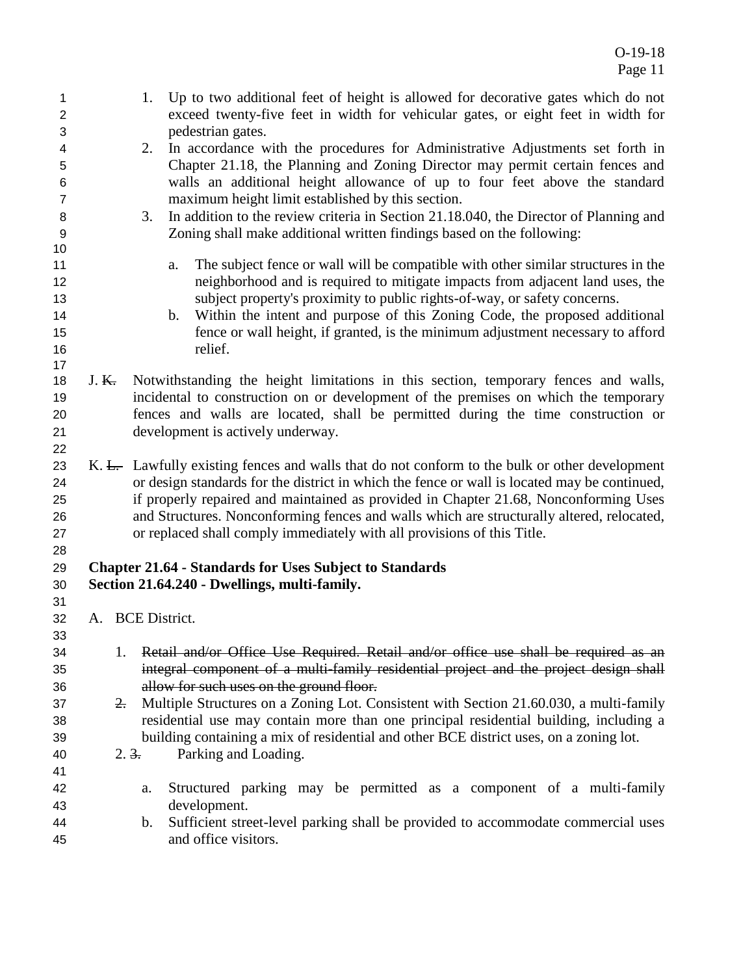| 1<br>$\overline{2}$ |                  |                 | 1.                                                             | Up to two additional feet of height is allowed for decorative gates which do not<br>exceed twenty-five feet in width for vehicular gates, or eight feet in width for |
|---------------------|------------------|-----------------|----------------------------------------------------------------|----------------------------------------------------------------------------------------------------------------------------------------------------------------------|
| 3                   |                  |                 | pedestrian gates.                                              |                                                                                                                                                                      |
| 4                   |                  |                 | 2.                                                             | In accordance with the procedures for Administrative Adjustments set forth in                                                                                        |
| 5                   |                  |                 |                                                                | Chapter 21.18, the Planning and Zoning Director may permit certain fences and                                                                                        |
| 6                   |                  |                 |                                                                | walls an additional height allowance of up to four feet above the standard                                                                                           |
| $\overline{7}$      |                  |                 |                                                                | maximum height limit established by this section.                                                                                                                    |
| 8                   |                  |                 | 3.                                                             | In addition to the review criteria in Section 21.18.040, the Director of Planning and                                                                                |
| 9                   |                  |                 |                                                                | Zoning shall make additional written findings based on the following:                                                                                                |
| 10                  |                  |                 |                                                                |                                                                                                                                                                      |
| 11                  |                  |                 | a.                                                             | The subject fence or wall will be compatible with other similar structures in the                                                                                    |
| 12                  |                  |                 |                                                                | neighborhood and is required to mitigate impacts from adjacent land uses, the                                                                                        |
| 13                  |                  |                 |                                                                | subject property's proximity to public rights-of-way, or safety concerns.                                                                                            |
| 14                  |                  |                 | b.                                                             | Within the intent and purpose of this Zoning Code, the proposed additional                                                                                           |
| 15                  |                  |                 |                                                                | fence or wall height, if granted, is the minimum adjustment necessary to afford                                                                                      |
| 16                  |                  |                 | relief.                                                        |                                                                                                                                                                      |
| 17<br>18            | J. <del>K.</del> |                 |                                                                | Notwithstanding the height limitations in this section, temporary fences and walls,                                                                                  |
| 19                  |                  |                 |                                                                | incidental to construction on or development of the premises on which the temporary                                                                                  |
|                     |                  |                 |                                                                | fences and walls are located, shall be permitted during the time construction or                                                                                     |
| 20<br>21            |                  |                 | development is actively underway.                              |                                                                                                                                                                      |
|                     |                  |                 |                                                                |                                                                                                                                                                      |
| 22<br>23            |                  |                 |                                                                | K. L. Lawfully existing fences and walls that do not conform to the bulk or other development                                                                        |
| 24                  |                  |                 |                                                                | or design standards for the district in which the fence or wall is located may be continued,                                                                         |
| 25                  |                  |                 |                                                                | if properly repaired and maintained as provided in Chapter 21.68, Nonconforming Uses                                                                                 |
| 26                  |                  |                 |                                                                | and Structures. Nonconforming fences and walls which are structurally altered, relocated,                                                                            |
| 27                  |                  |                 |                                                                | or replaced shall comply immediately with all provisions of this Title.                                                                                              |
| 28                  |                  |                 |                                                                |                                                                                                                                                                      |
| 29                  |                  |                 | <b>Chapter 21.64 - Standards for Uses Subject to Standards</b> |                                                                                                                                                                      |
| 30                  |                  |                 | Section 21.64.240 - Dwellings, multi-family.                   |                                                                                                                                                                      |
| 31                  |                  |                 |                                                                |                                                                                                                                                                      |
| 32                  |                  |                 | A. BCE District.                                               |                                                                                                                                                                      |
| 33                  |                  |                 |                                                                |                                                                                                                                                                      |
| 34                  |                  | 1.              |                                                                | Retail and/or Office Use Required. Retail and/or office use shall be required as an                                                                                  |
| 35                  |                  |                 |                                                                | integral component of a multi-family residential project and the project design shall                                                                                |
| 36                  |                  |                 | allow for such uses on the ground floor.                       |                                                                                                                                                                      |
| 37                  |                  | $\frac{2}{x}$   |                                                                | Multiple Structures on a Zoning Lot. Consistent with Section 21.60.030, a multi-family                                                                               |
| 38                  |                  |                 |                                                                | residential use may contain more than one principal residential building, including a                                                                                |
| 39                  |                  |                 |                                                                | building containing a mix of residential and other BCE district uses, on a zoning lot.                                                                               |
| 40                  |                  | $2.\frac{3}{1}$ | Parking and Loading.                                           |                                                                                                                                                                      |
| 41                  |                  |                 |                                                                |                                                                                                                                                                      |
| 42                  |                  |                 | a.                                                             | Structured parking may be permitted as a component of a multi-family                                                                                                 |
| 43                  |                  |                 | development.                                                   |                                                                                                                                                                      |
| 44                  |                  |                 | $\mathbf{b}$ .                                                 | Sufficient street-level parking shall be provided to accommodate commercial uses                                                                                     |
| 45                  |                  |                 | and office visitors.                                           |                                                                                                                                                                      |
|                     |                  |                 |                                                                |                                                                                                                                                                      |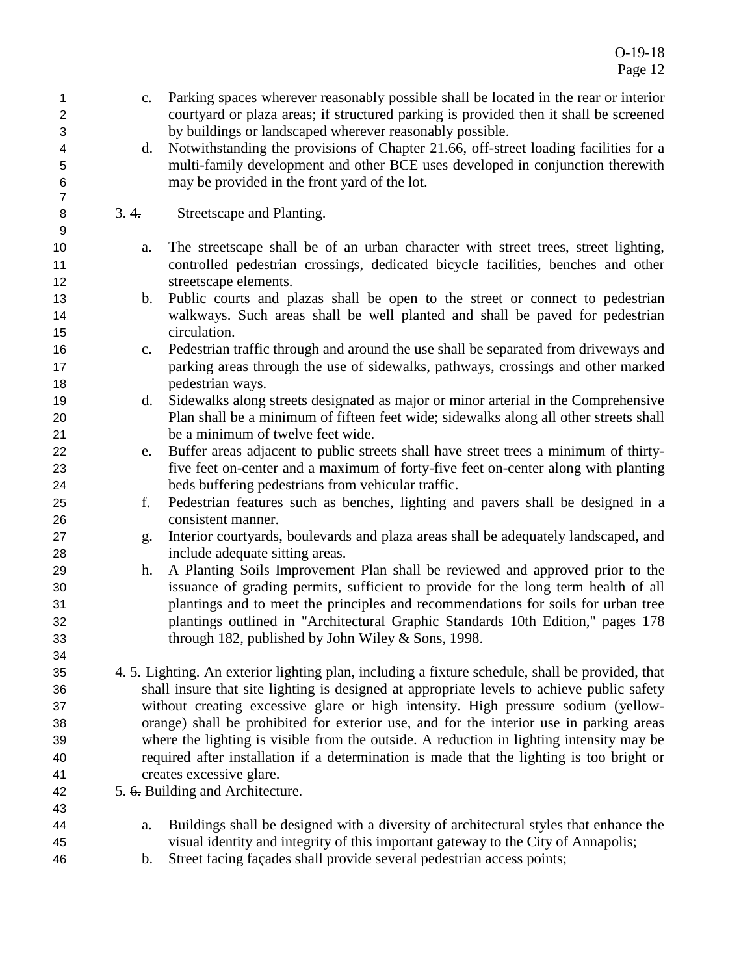O-19-18 Page 12

| 1<br>$\overline{2}$<br>3 | c.             | Parking spaces wherever reasonably possible shall be located in the rear or interior<br>courtyard or plaza areas; if structured parking is provided then it shall be screened<br>by buildings or landscaped wherever reasonably possible. |
|--------------------------|----------------|-------------------------------------------------------------------------------------------------------------------------------------------------------------------------------------------------------------------------------------------|
| 4                        | d.             | Notwithstanding the provisions of Chapter 21.66, off-street loading facilities for a                                                                                                                                                      |
| 5                        |                | multi-family development and other BCE uses developed in conjunction therewith                                                                                                                                                            |
| $\,6$                    |                | may be provided in the front yard of the lot.                                                                                                                                                                                             |
| $\overline{7}$           |                |                                                                                                                                                                                                                                           |
| 8<br>9                   | 3.4.           | Streetscape and Planting.                                                                                                                                                                                                                 |
| 10                       | a.             | The streetscape shall be of an urban character with street trees, street lighting,                                                                                                                                                        |
| 11                       |                | controlled pedestrian crossings, dedicated bicycle facilities, benches and other                                                                                                                                                          |
| 12                       |                | streetscape elements.                                                                                                                                                                                                                     |
| 13                       | b.             | Public courts and plazas shall be open to the street or connect to pedestrian                                                                                                                                                             |
| 14                       |                | walkways. Such areas shall be well planted and shall be paved for pedestrian                                                                                                                                                              |
| 15                       |                | circulation.                                                                                                                                                                                                                              |
| 16                       | c.             | Pedestrian traffic through and around the use shall be separated from driveways and                                                                                                                                                       |
| 17                       |                | parking areas through the use of sidewalks, pathways, crossings and other marked                                                                                                                                                          |
| 18                       |                | pedestrian ways.                                                                                                                                                                                                                          |
| 19                       | d.             | Sidewalks along streets designated as major or minor arterial in the Comprehensive                                                                                                                                                        |
| 20                       |                | Plan shall be a minimum of fifteen feet wide; sidewalks along all other streets shall                                                                                                                                                     |
| 21                       |                | be a minimum of twelve feet wide.                                                                                                                                                                                                         |
| 22                       | e.             | Buffer areas adjacent to public streets shall have street trees a minimum of thirty-                                                                                                                                                      |
| 23                       |                | five feet on-center and a maximum of forty-five feet on-center along with planting                                                                                                                                                        |
| 24                       |                | beds buffering pedestrians from vehicular traffic.                                                                                                                                                                                        |
| 25                       | f.             | Pedestrian features such as benches, lighting and pavers shall be designed in a                                                                                                                                                           |
| 26                       |                | consistent manner.                                                                                                                                                                                                                        |
| 27                       | g.             | Interior courtyards, boulevards and plaza areas shall be adequately landscaped, and                                                                                                                                                       |
| 28                       |                | include adequate sitting areas.                                                                                                                                                                                                           |
| 29                       | h.             | A Planting Soils Improvement Plan shall be reviewed and approved prior to the                                                                                                                                                             |
| 30                       |                | issuance of grading permits, sufficient to provide for the long term health of all                                                                                                                                                        |
| 31                       |                | plantings and to meet the principles and recommendations for soils for urban tree                                                                                                                                                         |
| 32                       |                | plantings outlined in "Architectural Graphic Standards 10th Edition," pages 178                                                                                                                                                           |
| 33                       |                | through 182, published by John Wiley & Sons, 1998.                                                                                                                                                                                        |
| 34                       |                |                                                                                                                                                                                                                                           |
| 35                       |                | 4. 5. Lighting. An exterior lighting plan, including a fixture schedule, shall be provided, that                                                                                                                                          |
| 36                       |                | shall insure that site lighting is designed at appropriate levels to achieve public safety                                                                                                                                                |
| 37                       |                | without creating excessive glare or high intensity. High pressure sodium (yellow-                                                                                                                                                         |
| 38                       |                | orange) shall be prohibited for exterior use, and for the interior use in parking areas                                                                                                                                                   |
| 39                       |                | where the lighting is visible from the outside. A reduction in lighting intensity may be                                                                                                                                                  |
| 40                       |                | required after installation if a determination is made that the lighting is too bright or                                                                                                                                                 |
| 41                       |                | creates excessive glare.                                                                                                                                                                                                                  |
|                          |                |                                                                                                                                                                                                                                           |
| 42<br>43                 |                | 5. 6. Building and Architecture.                                                                                                                                                                                                          |
| 44                       | a.             | Buildings shall be designed with a diversity of architectural styles that enhance the                                                                                                                                                     |
| 45                       |                | visual identity and integrity of this important gateway to the City of Annapolis;                                                                                                                                                         |
| 46                       |                | Street facing façades shall provide several pedestrian access points;                                                                                                                                                                     |
|                          | $\mathbf{b}$ . |                                                                                                                                                                                                                                           |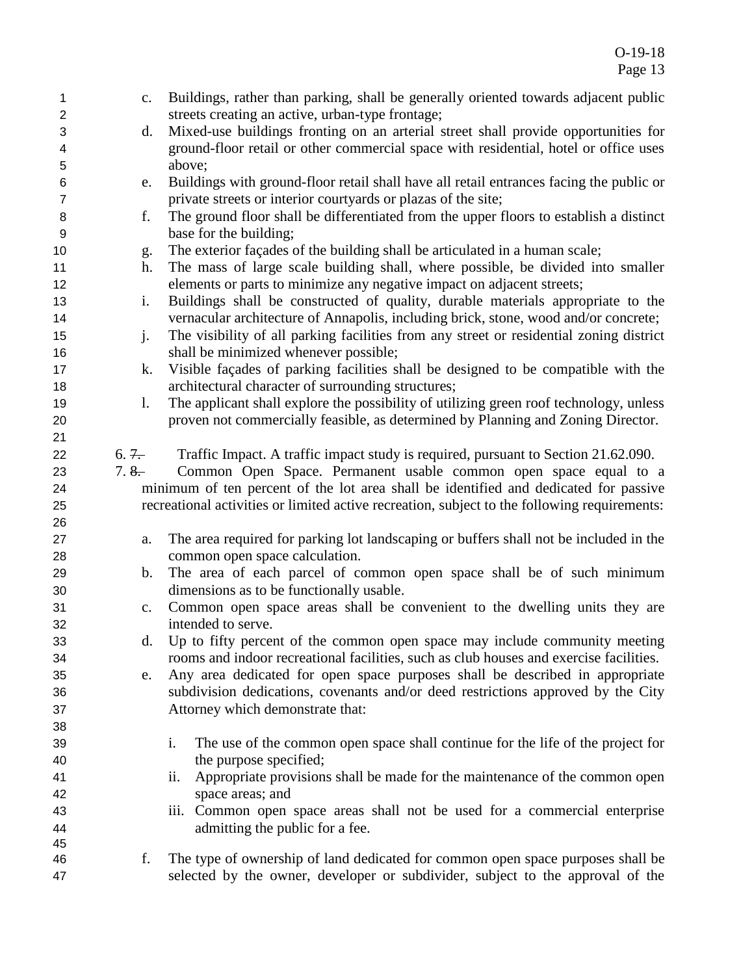| 1              | c.      | Buildings, rather than parking, shall be generally oriented towards adjacent public          |
|----------------|---------|----------------------------------------------------------------------------------------------|
| 2              |         | streets creating an active, urban-type frontage;                                             |
| 3              | d.      | Mixed-use buildings fronting on an arterial street shall provide opportunities for           |
| 4              |         | ground-floor retail or other commercial space with residential, hotel or office uses         |
| 5              |         | above;                                                                                       |
| 6              | e.      | Buildings with ground-floor retail shall have all retail entrances facing the public or      |
| $\overline{7}$ |         | private streets or interior courtyards or plazas of the site;                                |
| 8              | f.      | The ground floor shall be differentiated from the upper floors to establish a distinct       |
| 9              |         | base for the building;                                                                       |
| 10             | g.      | The exterior façades of the building shall be articulated in a human scale;                  |
| 11             | h.      | The mass of large scale building shall, where possible, be divided into smaller              |
| 12             |         | elements or parts to minimize any negative impact on adjacent streets;                       |
| 13             | i.      | Buildings shall be constructed of quality, durable materials appropriate to the              |
| 14             |         | vernacular architecture of Annapolis, including brick, stone, wood and/or concrete;          |
| 15             | $j$ .   | The visibility of all parking facilities from any street or residential zoning district      |
| 16             |         | shall be minimized whenever possible;                                                        |
| 17             | k.      | Visible façades of parking facilities shall be designed to be compatible with the            |
| 18             |         | architectural character of surrounding structures;                                           |
| 19             | 1.      | The applicant shall explore the possibility of utilizing green roof technology, unless       |
| 20             |         | proven not commercially feasible, as determined by Planning and Zoning Director.             |
| 21             |         |                                                                                              |
| 22             | $6.7 -$ | Traffic Impact. A traffic impact study is required, pursuant to Section 21.62.090.           |
| 23             | $7.8 -$ | Common Open Space. Permanent usable common open space equal to a                             |
| 24             |         | minimum of ten percent of the lot area shall be identified and dedicated for passive         |
| 25             |         | recreational activities or limited active recreation, subject to the following requirements: |
| 26             |         |                                                                                              |
| 27             | a.      | The area required for parking lot landscaping or buffers shall not be included in the        |
| 28             |         | common open space calculation.                                                               |
| 29             | b.      | The area of each parcel of common open space shall be of such minimum                        |
| 30             |         | dimensions as to be functionally usable.                                                     |
| 31             | c.      | Common open space areas shall be convenient to the dwelling units they are                   |
| 32             |         | intended to serve.                                                                           |
| 33             |         | d. Up to fifty percent of the common open space may include community meeting                |
| 34             |         | rooms and indoor recreational facilities, such as club houses and exercise facilities.       |
| 35             | e.      | Any area dedicated for open space purposes shall be described in appropriate                 |
| 36             |         | subdivision dedications, covenants and/or deed restrictions approved by the City             |
| 37             |         | Attorney which demonstrate that:                                                             |
| 38             |         |                                                                                              |
| 39             |         | i.<br>The use of the common open space shall continue for the life of the project for        |
| 40             |         | the purpose specified;                                                                       |
| 41             |         | Appropriate provisions shall be made for the maintenance of the common open<br>ii.           |
| 42             |         | space areas; and                                                                             |
| 43             |         | iii. Common open space areas shall not be used for a commercial enterprise                   |
| 44             |         | admitting the public for a fee.                                                              |
| 45             |         |                                                                                              |
| 46             | f.      | The type of ownership of land dedicated for common open space purposes shall be              |
| 47             |         | selected by the owner, developer or subdivider, subject to the approval of the               |
|                |         |                                                                                              |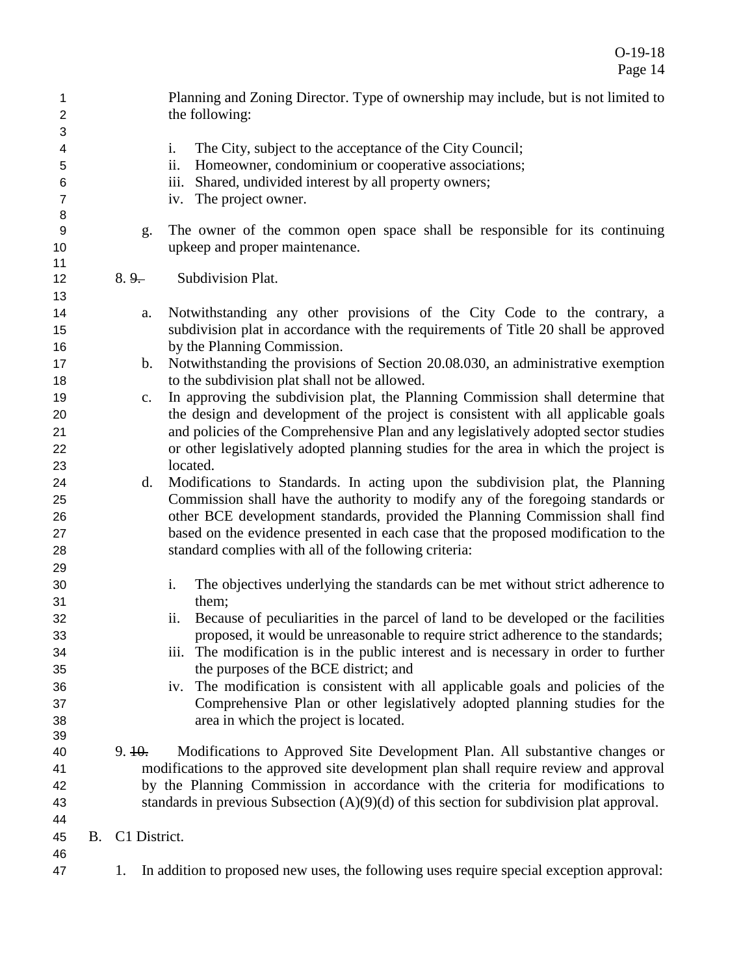| $\mathbf{1}$<br>$\boldsymbol{2}$ |    |                | Planning and Zoning Director. Type of ownership may include, but is not limited to<br>the following: |
|----------------------------------|----|----------------|------------------------------------------------------------------------------------------------------|
| 3                                |    |                |                                                                                                      |
| 4                                |    |                | i.<br>The City, subject to the acceptance of the City Council;                                       |
| 5                                |    |                | Homeowner, condominium or cooperative associations;<br>ii.                                           |
| 6                                |    |                | Shared, undivided interest by all property owners;<br><i>iii.</i>                                    |
| $\overline{7}$                   |    |                | The project owner.<br>iv.                                                                            |
| 8                                |    |                |                                                                                                      |
| 9                                |    | g.             | The owner of the common open space shall be responsible for its continuing                           |
| 10                               |    |                | upkeep and proper maintenance.                                                                       |
| 11                               |    |                |                                                                                                      |
| 12                               |    | $8.9 -$        | Subdivision Plat.                                                                                    |
| 13                               |    |                |                                                                                                      |
| 14                               |    | a.             | Notwithstanding any other provisions of the City Code to the contrary, a                             |
| 15                               |    |                | subdivision plat in accordance with the requirements of Title 20 shall be approved                   |
| 16                               |    |                | by the Planning Commission.                                                                          |
| 17                               |    | $\mathbf{b}$ . | Notwithstanding the provisions of Section 20.08.030, an administrative exemption                     |
| 18                               |    |                | to the subdivision plat shall not be allowed.                                                        |
| 19                               |    | $C_{\bullet}$  | In approving the subdivision plat, the Planning Commission shall determine that                      |
| 20                               |    |                | the design and development of the project is consistent with all applicable goals                    |
| 21                               |    |                | and policies of the Comprehensive Plan and any legislatively adopted sector studies                  |
| 22                               |    |                | or other legislatively adopted planning studies for the area in which the project is                 |
| 23                               |    |                | located.                                                                                             |
| 24                               |    | d.             | Modifications to Standards. In acting upon the subdivision plat, the Planning                        |
| 25                               |    |                | Commission shall have the authority to modify any of the foregoing standards or                      |
| 26                               |    |                | other BCE development standards, provided the Planning Commission shall find                         |
| 27                               |    |                | based on the evidence presented in each case that the proposed modification to the                   |
| 28                               |    |                | standard complies with all of the following criteria:                                                |
| 29                               |    |                |                                                                                                      |
| 30                               |    |                | i.<br>The objectives underlying the standards can be met without strict adherence to                 |
| 31                               |    |                | them;                                                                                                |
| 32                               |    |                | Because of peculiarities in the parcel of land to be developed or the facilities<br>ii.              |
| 33                               |    |                | proposed, it would be unreasonable to require strict adherence to the standards;                     |
| 34                               |    |                | iii. The modification is in the public interest and is necessary in order to further                 |
| 35                               |    |                | the purposes of the BCE district; and                                                                |
| 36                               |    |                | iv. The modification is consistent with all applicable goals and policies of the                     |
| 37                               |    |                | Comprehensive Plan or other legislatively adopted planning studies for the                           |
| 38                               |    |                | area in which the project is located.                                                                |
| 39                               |    |                |                                                                                                      |
| 40                               |    | 9.10.          | Modifications to Approved Site Development Plan. All substantive changes or                          |
| 41                               |    |                | modifications to the approved site development plan shall require review and approval                |
| 42                               |    |                | by the Planning Commission in accordance with the criteria for modifications to                      |
| 43                               |    |                | standards in previous Subsection $(A)(9)(d)$ of this section for subdivision plat approval.          |
| 44                               |    |                |                                                                                                      |
| 45                               | B. | C1 District.   |                                                                                                      |
| 46                               |    |                |                                                                                                      |
| 47                               |    | 1.             | In addition to proposed new uses, the following uses require special exception approval:             |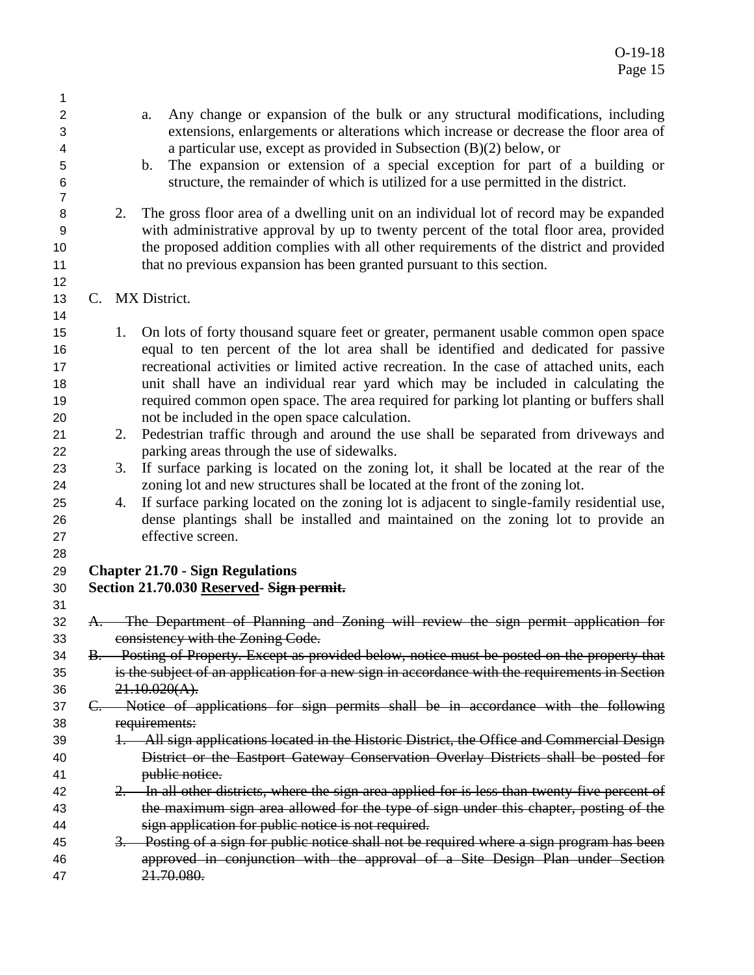- a. Any change or expansion of the bulk or any structural modifications, including extensions, enlargements or alterations which increase or decrease the floor area of a particular use, except as provided in Subsection (B)(2) below, or
- b. The expansion or extension of a special exception for part of a building or structure, the remainder of which is utilized for a use permitted in the district.
- 2. The gross floor area of a dwelling unit on an individual lot of record may be expanded with administrative approval by up to twenty percent of the total floor area, provided the proposed addition complies with all other requirements of the district and provided that no previous expansion has been granted pursuant to this section.
- C. MX District.
- 15 1. On lots of forty thousand square feet or greater, permanent usable common open space equal to ten percent of the lot area shall be identified and dedicated for passive recreational activities or limited active recreation. In the case of attached units, each unit shall have an individual rear yard which may be included in calculating the required common open space. The area required for parking lot planting or buffers shall not be included in the open space calculation.
- 2. Pedestrian traffic through and around the use shall be separated from driveways and parking areas through the use of sidewalks.
- 3. If surface parking is located on the zoning lot, it shall be located at the rear of the zoning lot and new structures shall be located at the front of the zoning lot.
- 4. If surface parking located on the zoning lot is adjacent to single-family residential use, dense plantings shall be installed and maintained on the zoning lot to provide an effective screen.
- 

## **Chapter 21.70 - Sign Regulations**

- **Section 21.70.030 Reserved- Sign permit.**
- A. The Department of Planning and Zoning will review the sign permit application for consistency with the Zoning Code.
- B. Posting of Property. Except as provided below, notice must be posted on the property that is the subject of an application for a new sign in accordance with the requirements in Section  $36 \frac{21.10.020(A)}{21.10.020(A)}$
- C. Notice of applications for sign permits shall be in accordance with the following requirements:
- 1. All sign applications located in the Historic District, the Office and Commercial Design District or the Eastport Gateway Conservation Overlay Districts shall be posted for **bublic notice.**
- 42 2. In all other districts, where the sign area applied for is less than twenty-five percent of 43 the maximum sign area allowed for the type of sign under this chapter, posting of the sign application for public notice is not required.
- 45 3. Posting of a sign for public notice shall not be required where a sign program has been approved in conjunction with the approval of a Site Design Plan under Section 21.70.080.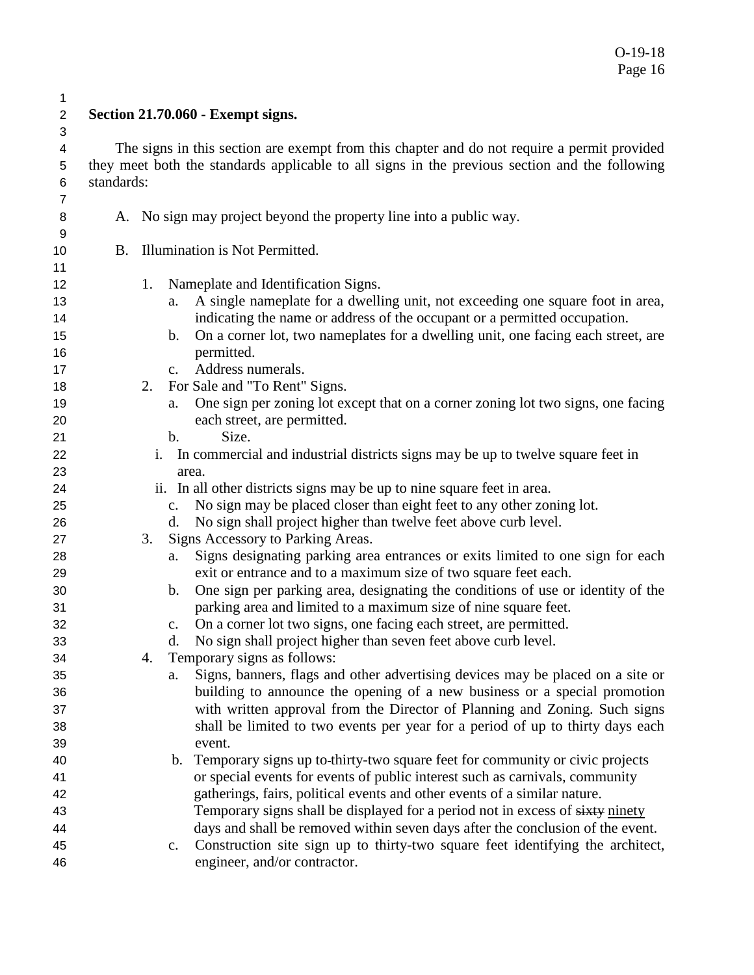### $\frac{1}{2}$ **Section 21.70.060 - Exempt signs.**

 4 The signs in this section are exempt from this chapter and do not require a permit provided<br>5 they meet both the standards applicable to all signs in the previous section and the following they meet both the standards applicable to all signs in the previous section and the following standards:

| $\,6$          | standards: |                                                                                                                           |
|----------------|------------|---------------------------------------------------------------------------------------------------------------------------|
| $\overline{7}$ |            |                                                                                                                           |
| 8<br>9         |            | A. No sign may project beyond the property line into a public way.                                                        |
| 10             | <b>B.</b>  | Illumination is Not Permitted.                                                                                            |
| 11             |            |                                                                                                                           |
| 12             |            | Nameplate and Identification Signs.<br>1.                                                                                 |
| 13             |            | A single nameplate for a dwelling unit, not exceeding one square foot in area,<br>a.                                      |
| 14             |            | indicating the name or address of the occupant or a permitted occupation.                                                 |
| 15             |            | On a corner lot, two nameplates for a dwelling unit, one facing each street, are<br>$\mathbf{b}$ .                        |
| 16             |            | permitted.                                                                                                                |
| 17             |            | Address numerals.<br>$c_{\cdot}$                                                                                          |
| 18             |            | For Sale and "To Rent" Signs.<br>2.                                                                                       |
| 19             |            | One sign per zoning lot except that on a corner zoning lot two signs, one facing<br>a.                                    |
| 20             |            | each street, are permitted.                                                                                               |
| 21             |            | Size.<br>$\mathbf{b}$ .                                                                                                   |
| 22             |            | In commercial and industrial districts signs may be up to twelve square feet in<br>i.                                     |
| 23             |            | area.                                                                                                                     |
| 24             |            | ii. In all other districts signs may be up to nine square feet in area.                                                   |
| 25             |            | No sign may be placed closer than eight feet to any other zoning lot.<br>c.                                               |
| 26             |            | No sign shall project higher than twelve feet above curb level.<br>d.                                                     |
| 27<br>28       |            | Signs Accessory to Parking Areas.<br>3.<br>Signs designating parking area entrances or exits limited to one sign for each |
| 29             |            | a.<br>exit or entrance and to a maximum size of two square feet each.                                                     |
| 30             |            | One sign per parking area, designating the conditions of use or identity of the<br>b.                                     |
| 31             |            | parking area and limited to a maximum size of nine square feet.                                                           |
| 32             |            | On a corner lot two signs, one facing each street, are permitted.<br>c.                                                   |
| 33             |            | No sign shall project higher than seven feet above curb level.<br>d.                                                      |
| 34             |            | Temporary signs as follows:<br>4.                                                                                         |
| 35             |            | Signs, banners, flags and other advertising devices may be placed on a site or<br>a.                                      |
| 36             |            | building to announce the opening of a new business or a special promotion                                                 |
| 37             |            | with written approval from the Director of Planning and Zoning. Such signs                                                |
| 38             |            | shall be limited to two events per year for a period of up to thirty days each                                            |
| 39             |            | event.                                                                                                                    |
| 40             |            | Temporary signs up to-thirty-two square feet for community or civic projects<br>b.                                        |
| 41             |            | or special events for events of public interest such as carnivals, community                                              |
| 42             |            | gatherings, fairs, political events and other events of a similar nature.                                                 |
| 43             |            | Temporary signs shall be displayed for a period not in excess of sixty ninety                                             |
| 44             |            | days and shall be removed within seven days after the conclusion of the event.                                            |
| 45             |            | Construction site sign up to thirty-two square feet identifying the architect,<br>c.                                      |
| 46             |            | engineer, and/or contractor.                                                                                              |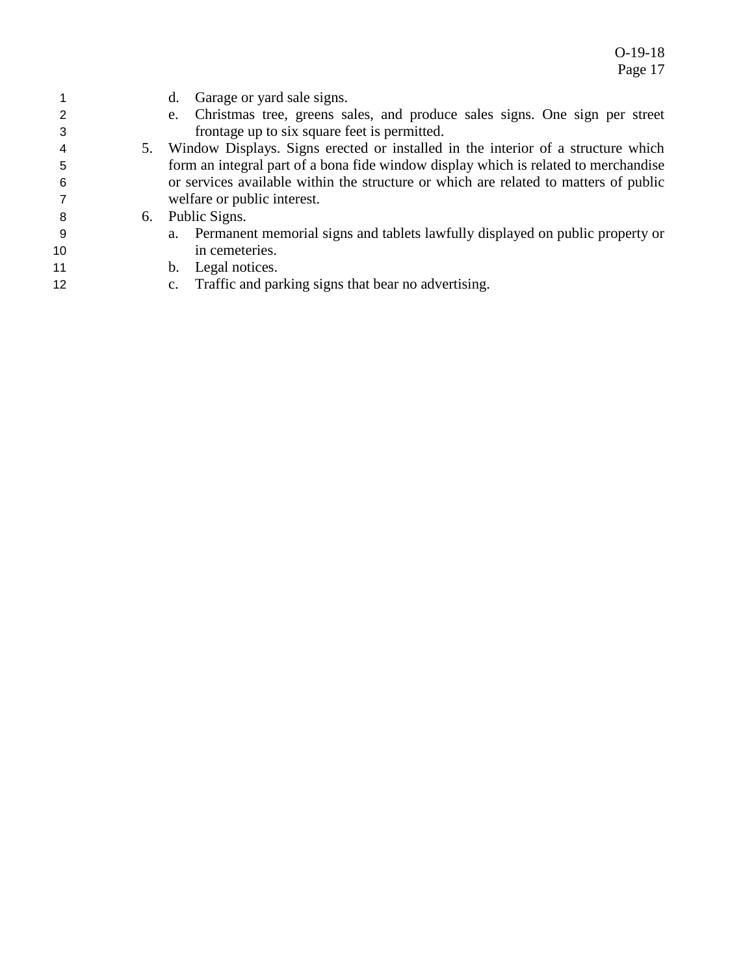|     | Garage or yard sale signs.<br>d.                                                     |
|-----|--------------------------------------------------------------------------------------|
| 2   | Christmas tree, greens sales, and produce sales signs. One sign per street<br>e.     |
|     | frontage up to six square feet is permitted.                                         |
| 4   | 5. Window Displays. Signs erected or installed in the interior of a structure which  |
| 5   | form an integral part of a bona fide window display which is related to merchandise  |
| -6  | or services available within the structure or which are related to matters of public |
|     | welfare or public interest.                                                          |
| -8  | 6. Public Signs.                                                                     |
| - 9 | Permanent memorial signs and tablets lawfully displayed on public property or<br>a.  |
| 10  | in cemeteries.                                                                       |
| 11  | Legal notices.<br>$b_{\cdot}$                                                        |
|     |                                                                                      |

c. Traffic and parking signs that bear no advertising.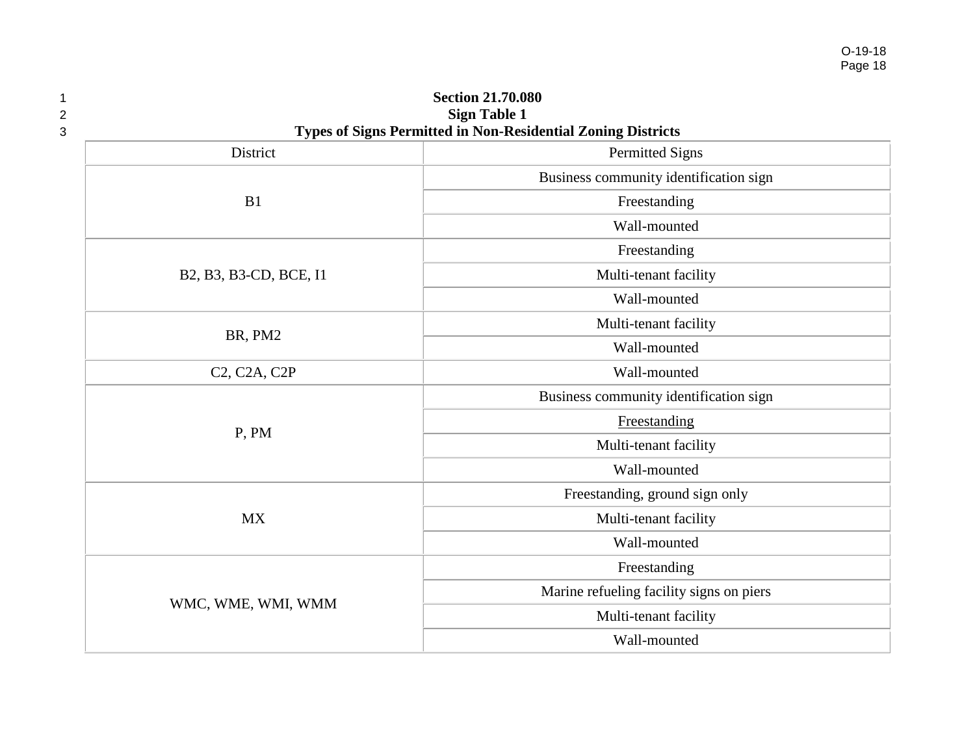| $\mathbf 1$<br>2<br>3                               | <b>Section 21.70.080</b><br><b>Sign Table 1</b><br>Types of Signs Permitted in Non-Residential Zoning Districts |
|-----------------------------------------------------|-----------------------------------------------------------------------------------------------------------------|
| District                                            | <b>Permitted Signs</b>                                                                                          |
|                                                     | Business community identification sign                                                                          |
| B1                                                  | Freestanding                                                                                                    |
|                                                     | Wall-mounted                                                                                                    |
|                                                     | Freestanding                                                                                                    |
| B2, B3, B3-CD, BCE, I1                              | Multi-tenant facility                                                                                           |
|                                                     | Wall-mounted                                                                                                    |
|                                                     | Multi-tenant facility                                                                                           |
| BR, PM2                                             | Wall-mounted                                                                                                    |
| C <sub>2</sub> , C <sub>2</sub> A, C <sub>2</sub> P | Wall-mounted                                                                                                    |
|                                                     | Business community identification sign                                                                          |
| P, PM                                               | Freestanding                                                                                                    |
|                                                     | Multi-tenant facility                                                                                           |
|                                                     | Wall-mounted                                                                                                    |
|                                                     | Freestanding, ground sign only                                                                                  |
| <b>MX</b>                                           | Multi-tenant facility                                                                                           |
|                                                     | Wall-mounted                                                                                                    |
|                                                     | Freestanding                                                                                                    |
|                                                     | Marine refueling facility signs on piers                                                                        |
| WMC, WME, WMI, WMM                                  | Multi-tenant facility                                                                                           |
|                                                     | Wall-mounted                                                                                                    |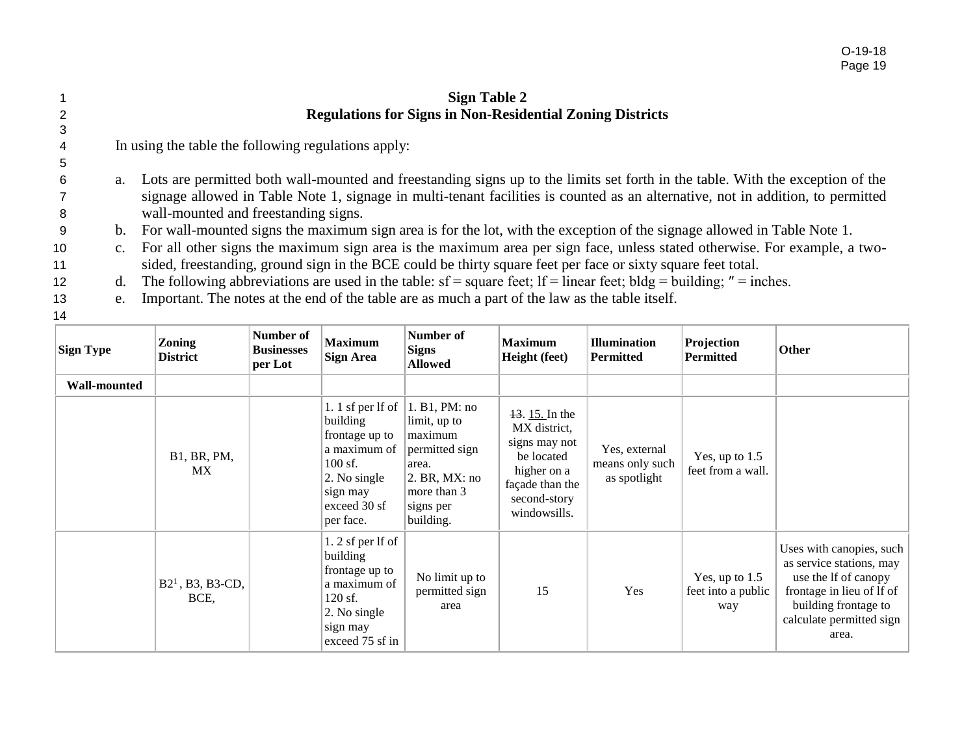|                 |             | <b>Sign Table 2</b>                                                                                                               |
|-----------------|-------------|-----------------------------------------------------------------------------------------------------------------------------------|
| 2               |             | <b>Regulations for Signs in Non-Residential Zoning Districts</b>                                                                  |
| 3               |             |                                                                                                                                   |
| $\overline{4}$  |             | In using the table the following regulations apply:                                                                               |
| 5               |             |                                                                                                                                   |
| -6              |             | a. Lots are permitted both wall-mounted and freestanding signs up to the limits set forth in the table. With the exception of the |
|                 |             | signage allowed in Table Note 1, signage in multi-tenant facilities is counted as an alternative, not in addition, to permitted   |
| 8               |             | wall-mounted and freestanding signs.                                                                                              |
| -9              |             | b. For wall-mounted signs the maximum sign area is for the lot, with the exception of the signage allowed in Table Note 1.        |
| 10              | $c_{\cdot}$ | For all other signs the maximum sign area is the maximum area per sign face, unless stated otherwise. For example, a two-         |
| 11              |             | sided, freestanding, ground sign in the BCE could be thirty square feet per face or sixty square feet total.                      |
| 12 <sup>°</sup> | d.          | The following abbreviations are used in the table: $sf = square$ feet; $lf = linear$ feet; $bldg = building$ ; "= inches.         |
| 13              | e.          | Important. The notes at the end of the table are as much a part of the law as the table itself.                                   |

| <b>Sign Type</b>    | <b>Zoning</b><br><b>District</b> | Number of<br><b>Businesses</b><br>per Lot | <b>Maximum</b><br><b>Sign Area</b>                                                                                                      | Number of<br><b>Signs</b><br><b>Allowed</b>                                                                                   | <b>Maximum</b><br>Height (feet)                                                                                                   | <b>Illumination</b><br><b>Permitted</b>          | Projection<br><b>Permitted</b>                | Other                                                                                                                                                                  |
|---------------------|----------------------------------|-------------------------------------------|-----------------------------------------------------------------------------------------------------------------------------------------|-------------------------------------------------------------------------------------------------------------------------------|-----------------------------------------------------------------------------------------------------------------------------------|--------------------------------------------------|-----------------------------------------------|------------------------------------------------------------------------------------------------------------------------------------------------------------------------|
| <b>Wall-mounted</b> |                                  |                                           |                                                                                                                                         |                                                                                                                               |                                                                                                                                   |                                                  |                                               |                                                                                                                                                                        |
|                     | B1, BR, PM,<br><b>MX</b>         |                                           | 1. 1 sf per $If$ of<br>building<br>frontage up to<br>a maximum of<br>$100$ sf.<br>2. No single<br>sign may<br>exceed 30 sf<br>per face. | 1. B1, PM: no<br>limit, up to<br>maximum<br>permitted sign<br>area.<br>2. BR, MX: no<br>more than 3<br>signs per<br>building. | $13.15$ . In the<br>MX district,<br>signs may not<br>be located<br>higher on a<br>façade than the<br>second-story<br>windowsills. | Yes, external<br>means only such<br>as spotlight | Yes, up to $1.5$<br>feet from a wall.         |                                                                                                                                                                        |
|                     | $B21$ , B3, B3-CD,<br>BCE,       |                                           | $1.2$ sf per lf of<br>building<br>frontage up to<br>a maximum of<br>$120$ sf.<br>2. No single<br>sign may<br>exceed 75 sf in            | No limit up to<br>permitted sign<br>area                                                                                      | 15                                                                                                                                | Yes                                              | Yes, up to $1.5$<br>feet into a public<br>way | Uses with canopies, such<br>as service stations, may<br>use the If of canopy<br>frontage in lieu of lf of<br>building frontage to<br>calculate permitted sign<br>area. |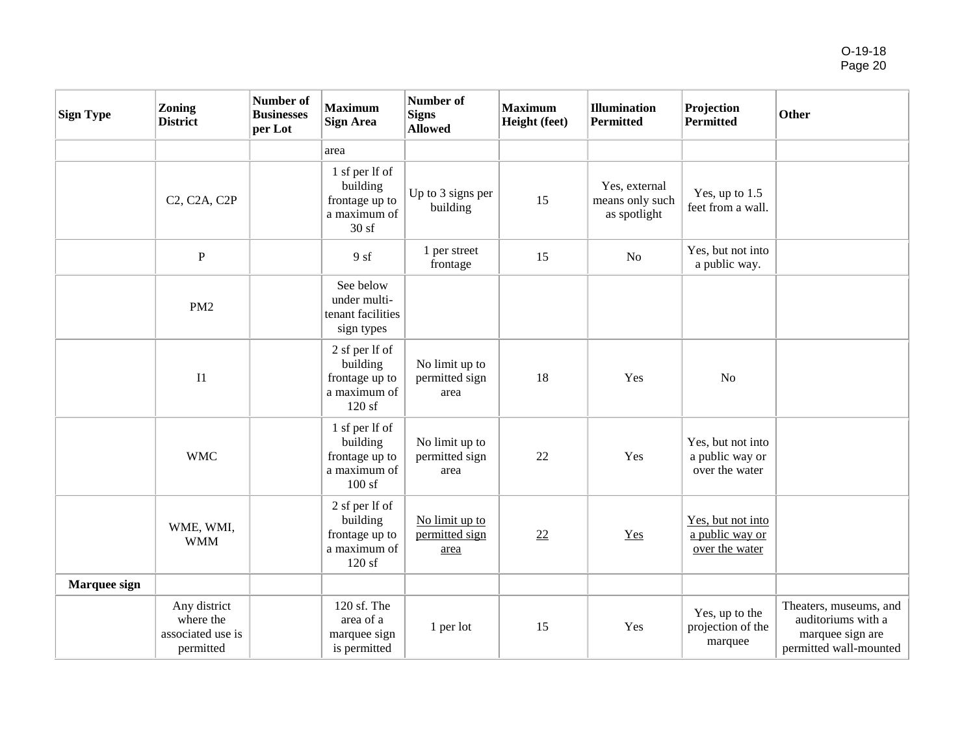| <b>Sign Type</b> | <b>Zoning</b><br><b>District</b>                            | Number of<br><b>Businesses</b><br>per Lot | <b>Maximum</b><br><b>Sign Area</b>                                    | Number of<br><b>Signs</b><br><b>Allowed</b> | <b>Maximum</b><br>Height (feet) | <b>Illumination</b><br><b>Permitted</b>          | Projection<br><b>Permitted</b>                         | Other                                                                                      |
|------------------|-------------------------------------------------------------|-------------------------------------------|-----------------------------------------------------------------------|---------------------------------------------|---------------------------------|--------------------------------------------------|--------------------------------------------------------|--------------------------------------------------------------------------------------------|
|                  |                                                             |                                           | area                                                                  |                                             |                                 |                                                  |                                                        |                                                                                            |
|                  | C <sub>2</sub> , C <sub>2</sub> A, C <sub>2</sub> P         |                                           | 1 sf per lf of<br>building<br>frontage up to<br>a maximum of<br>30sf  | Up to 3 signs per<br>building               | 15                              | Yes, external<br>means only such<br>as spotlight | Yes, up to $1.5$<br>feet from a wall.                  |                                                                                            |
|                  | $\, {\bf P}$                                                |                                           | 9sf                                                                   | 1 per street<br>frontage                    | 15                              | $\rm No$                                         | Yes, but not into<br>a public way.                     |                                                                                            |
|                  | PM <sub>2</sub>                                             |                                           | See below<br>under multi-<br>tenant facilities<br>sign types          |                                             |                                 |                                                  |                                                        |                                                                                            |
|                  | I1                                                          |                                           | 2 sf per lf of<br>building<br>frontage up to<br>a maximum of<br>120sf | No limit up to<br>permitted sign<br>area    | 18                              | Yes                                              | N <sub>o</sub>                                         |                                                                                            |
|                  | <b>WMC</b>                                                  |                                           | 1 sf per lf of<br>building<br>frontage up to<br>a maximum of<br>100sf | No limit up to<br>permitted sign<br>area    | 22                              | Yes                                              | Yes, but not into<br>a public way or<br>over the water |                                                                                            |
|                  | WME, WMI,<br><b>WMM</b>                                     |                                           | 2 sf per lf of<br>building<br>frontage up to<br>a maximum of<br>120sf | No limit up to<br>permitted sign<br>area    | 22                              | Yes                                              | Yes, but not into<br>a public way or<br>over the water |                                                                                            |
| Marquee sign     |                                                             |                                           |                                                                       |                                             |                                 |                                                  |                                                        |                                                                                            |
|                  | Any district<br>where the<br>associated use is<br>permitted |                                           | 120 sf. The<br>area of a<br>marquee sign<br>is permitted              | 1 per lot                                   | 15                              | Yes                                              | Yes, up to the<br>projection of the<br>marquee         | Theaters, museums, and<br>auditoriums with a<br>marquee sign are<br>permitted wall-mounted |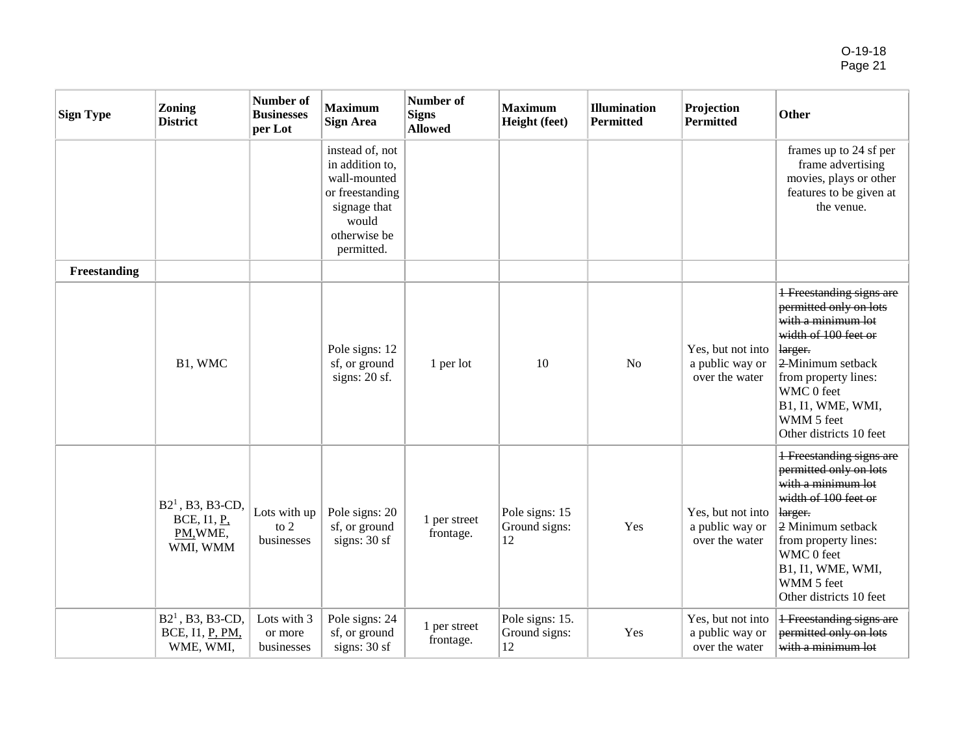| <b>Sign Type</b> | <b>Zoning</b><br><b>District</b>                          | Number of<br><b>Businesses</b><br>per Lot | <b>Maximum</b><br><b>Sign Area</b>                                                                                           | Number of<br><b>Signs</b><br><b>Allowed</b> | <b>Maximum</b><br>Height (feet)        | <b>Illumination</b><br><b>Permitted</b> | Projection<br><b>Permitted</b>                         | Other                                                                                                                                                                                                                                       |
|------------------|-----------------------------------------------------------|-------------------------------------------|------------------------------------------------------------------------------------------------------------------------------|---------------------------------------------|----------------------------------------|-----------------------------------------|--------------------------------------------------------|---------------------------------------------------------------------------------------------------------------------------------------------------------------------------------------------------------------------------------------------|
|                  |                                                           |                                           | instead of, not<br>in addition to,<br>wall-mounted<br>or freestanding<br>signage that<br>would<br>otherwise be<br>permitted. |                                             |                                        |                                         |                                                        | frames up to 24 sf per<br>frame advertising<br>movies, plays or other<br>features to be given at<br>the venue.                                                                                                                              |
| Freestanding     |                                                           |                                           |                                                                                                                              |                                             |                                        |                                         |                                                        |                                                                                                                                                                                                                                             |
|                  | B1, WMC                                                   |                                           | Pole signs: 12<br>sf, or ground<br>signs: 20 sf.                                                                             | 1 per lot                                   | 10                                     | <b>No</b>                               | Yes, but not into<br>a public way or<br>over the water | <b>1 Freestanding signs are</b><br>permitted only on lots<br>with a minimum lot<br>width of 100 feet or<br>larger.<br>2-Minimum setback<br>from property lines:<br>WMC 0 feet<br>B1, I1, WME, WMI,<br>WMM 5 feet<br>Other districts 10 feet |
|                  | $B21$ , B3, B3-CD,<br>BCE, I1, P.<br>PM, WME,<br>WMI, WMM | Lots with up<br>to $2$<br>businesses      | Pole signs: 20<br>sf, or ground<br>signs: $30sf$                                                                             | 1 per street<br>frontage.                   | Pole signs: 15<br>Ground signs:<br>12  | Yes                                     | Yes, but not into<br>a public way or<br>over the water | <b>1 Freestanding signs are</b><br>permitted only on lots<br>with a minimum lot<br>width of 100 feet or<br>larger.<br>2 Minimum setback<br>from property lines:<br>WMC 0 feet<br>B1, I1, WME, WMI,<br>WMM 5 feet<br>Other districts 10 feet |
|                  | $B21$ , B3, B3-CD,<br>BCE, I1, P, PM,<br>WME, WMI,        | Lots with 3<br>or more<br>businesses      | Pole signs: 24<br>sf, or ground<br>signs: $30sf$                                                                             | 1 per street<br>frontage.                   | Pole signs: 15.<br>Ground signs:<br>12 | Yes                                     | Yes, but not into<br>a public way or<br>over the water | <b>1 Freestanding signs are</b><br>permitted only on lots<br>with a minimum lot                                                                                                                                                             |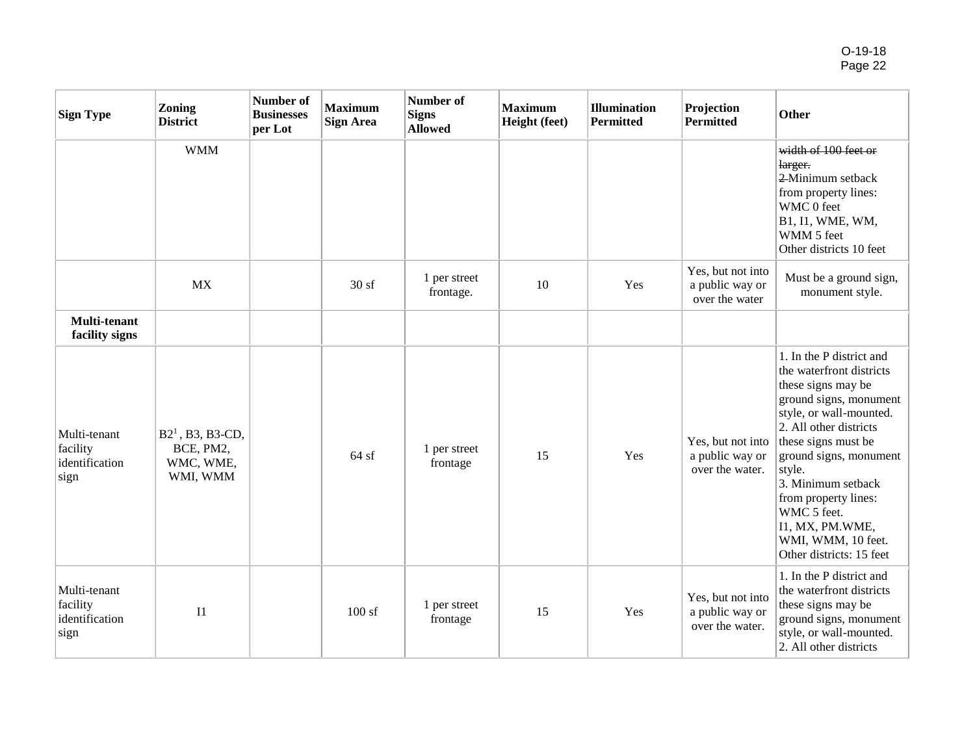| <b>Sign Type</b>                                   | Zoning<br><b>District</b>                                | Number of<br><b>Businesses</b><br>per Lot | <b>Maximum</b><br><b>Sign Area</b> | Number of<br><b>Signs</b><br><b>Allowed</b> | <b>Maximum</b><br>Height (feet) | <b>Illumination</b><br><b>Permitted</b> | Projection<br><b>Permitted</b>                          | Other                                                                                                                                                                                                                                                                                                                                                  |
|----------------------------------------------------|----------------------------------------------------------|-------------------------------------------|------------------------------------|---------------------------------------------|---------------------------------|-----------------------------------------|---------------------------------------------------------|--------------------------------------------------------------------------------------------------------------------------------------------------------------------------------------------------------------------------------------------------------------------------------------------------------------------------------------------------------|
|                                                    | <b>WMM</b>                                               |                                           |                                    |                                             |                                 |                                         |                                                         | width of 100 feet or<br>larger.<br>2-Minimum setback<br>from property lines:<br>WMC 0 feet<br>B1, I1, WME, WM,<br>WMM 5 feet<br>Other districts 10 feet                                                                                                                                                                                                |
|                                                    | <b>MX</b>                                                |                                           | 30sf                               | 1 per street<br>frontage.                   | 10                              | Yes                                     | Yes, but not into<br>a public way or<br>over the water  | Must be a ground sign,<br>monument style.                                                                                                                                                                                                                                                                                                              |
| Multi-tenant<br>facility signs                     |                                                          |                                           |                                    |                                             |                                 |                                         |                                                         |                                                                                                                                                                                                                                                                                                                                                        |
| Multi-tenant<br>facility<br>identification<br>sign | $B21$ , B3, B3-CD,<br>BCE, PM2,<br>WMC, WME,<br>WMI, WMM |                                           | 64sf                               | 1 per street<br>frontage                    | 15                              | Yes                                     | Yes, but not into<br>a public way or<br>over the water. | 1. In the P district and<br>the waterfront districts<br>these signs may be<br>ground signs, monument<br>style, or wall-mounted.<br>2. All other districts<br>these signs must be<br>ground signs, monument<br>style.<br>3. Minimum setback<br>from property lines:<br>WMC 5 feet.<br>I1, MX, PM.WME,<br>WMI, WMM, 10 feet.<br>Other districts: 15 feet |
| Multi-tenant<br>facility<br>identification<br>sign | I <sub>1</sub>                                           |                                           | 100sf                              | 1 per street<br>frontage                    | 15                              | Yes                                     | Yes, but not into<br>a public way or<br>over the water. | 1. In the P district and<br>the waterfront districts<br>these signs may be<br>ground signs, monument<br>style, or wall-mounted.<br>2. All other districts                                                                                                                                                                                              |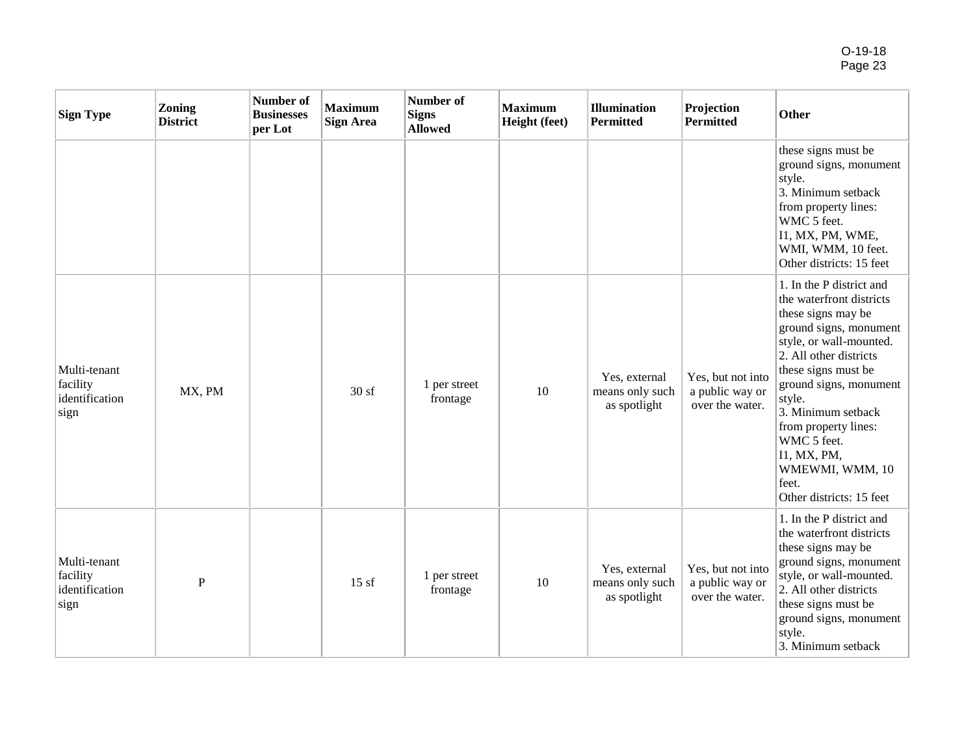| <b>Sign Type</b>                                   | <b>Zoning</b><br><b>District</b> | Number of<br><b>Businesses</b><br>per Lot | <b>Maximum</b><br><b>Sign Area</b> | Number of<br>Signs<br><b>Allowed</b> | <b>Maximum</b><br>Height (feet) | <b>Illumination</b><br><b>Permitted</b>          | Projection<br><b>Permitted</b>                          | Other                                                                                                                                                                                                                                                                                                                                                    |
|----------------------------------------------------|----------------------------------|-------------------------------------------|------------------------------------|--------------------------------------|---------------------------------|--------------------------------------------------|---------------------------------------------------------|----------------------------------------------------------------------------------------------------------------------------------------------------------------------------------------------------------------------------------------------------------------------------------------------------------------------------------------------------------|
|                                                    |                                  |                                           |                                    |                                      |                                 |                                                  |                                                         | these signs must be<br>ground signs, monument<br>style.<br>3. Minimum setback<br>from property lines:<br>WMC 5 feet.<br>11, MX, PM, WME,<br>WMI, WMM, 10 feet.<br>Other districts: 15 feet                                                                                                                                                               |
| Multi-tenant<br>facility<br>identification<br>sign | MX, PM                           |                                           | 30sf                               | 1 per street<br>frontage             | 10                              | Yes, external<br>means only such<br>as spotlight | Yes, but not into<br>a public way or<br>over the water. | 1. In the P district and<br>the waterfront districts<br>these signs may be<br>ground signs, monument<br>style, or wall-mounted.<br>2. All other districts<br>these signs must be<br>ground signs, monument<br>style.<br>3. Minimum setback<br>from property lines:<br>WMC 5 feet.<br>11, MX, PM,<br>WMEWMI, WMM, 10<br>feet.<br>Other districts: 15 feet |
| Multi-tenant<br>facility<br>identification<br>sign | P                                |                                           | 15sf                               | 1 per street<br>frontage             | 10                              | Yes, external<br>means only such<br>as spotlight | Yes, but not into<br>a public way or<br>over the water. | 1. In the P district and<br>the waterfront districts<br>these signs may be<br>ground signs, monument<br>style, or wall-mounted.<br>2. All other districts<br>these signs must be<br>ground signs, monument<br>style.<br>3. Minimum setback                                                                                                               |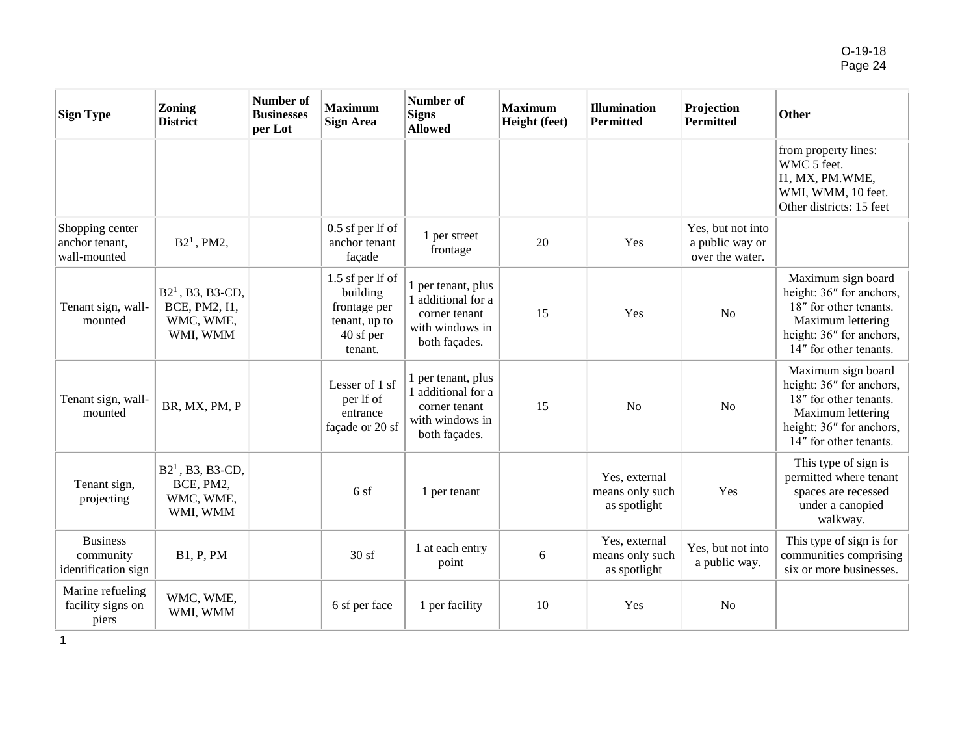| <b>Sign Type</b>                                    | <b>Zoning</b><br><b>District</b>                             | Number of<br><b>Businesses</b><br>per Lot | <b>Maximum</b><br><b>Sign Area</b>                                                    | <b>Number of</b><br><b>Signs</b><br><b>Allowed</b>                                            | <b>Maximum</b><br>Height (feet) | <b>Illumination</b><br><b>Permitted</b>          | Projection<br><b>Permitted</b>                          | Other                                                                                                                                               |
|-----------------------------------------------------|--------------------------------------------------------------|-------------------------------------------|---------------------------------------------------------------------------------------|-----------------------------------------------------------------------------------------------|---------------------------------|--------------------------------------------------|---------------------------------------------------------|-----------------------------------------------------------------------------------------------------------------------------------------------------|
|                                                     |                                                              |                                           |                                                                                       |                                                                                               |                                 |                                                  |                                                         | from property lines:<br>WMC 5 feet.<br>I1, MX, PM.WME,<br>WMI, WMM, 10 feet.<br>Other districts: 15 feet                                            |
| Shopping center<br>anchor tenant,<br>wall-mounted   | $B21$ , PM2,                                                 |                                           | 0.5 sf per lf of<br>anchor tenant<br>façade                                           | 1 per street<br>frontage                                                                      | 20                              | Yes                                              | Yes, but not into<br>a public way or<br>over the water. |                                                                                                                                                     |
| Tenant sign, wall-<br>mounted                       | $B21$ , B3, B3-CD,<br>BCE, PM2, I1,<br>WMC, WME,<br>WMI, WMM |                                           | 1.5 sf per lf of<br>building<br>frontage per<br>tenant, up to<br>40 sf per<br>tenant. | 1 per tenant, plus<br>1 additional for a<br>corner tenant<br>with windows in<br>both façades. | 15                              | Yes                                              | N <sub>o</sub>                                          | Maximum sign board<br>height: 36" for anchors,<br>18" for other tenants.<br>Maximum lettering<br>height: 36" for anchors,<br>14" for other tenants. |
| Tenant sign, wall-<br>mounted                       | BR, MX, PM, P                                                |                                           | Lesser of 1 sf<br>per lf of<br>entrance<br>façade or 20 sf                            | 1 per tenant, plus<br>1 additional for a<br>corner tenant<br>with windows in<br>both façades. | 15                              | N <sub>o</sub>                                   | N <sub>o</sub>                                          | Maximum sign board<br>height: 36" for anchors,<br>18" for other tenants.<br>Maximum lettering<br>height: 36" for anchors,<br>14" for other tenants. |
| Tenant sign,<br>projecting                          | $B21$ , B3, B3-CD,<br>BCE, PM2,<br>WMC, WME,<br>WMI, WMM     |                                           | 6 sf                                                                                  | 1 per tenant                                                                                  |                                 | Yes, external<br>means only such<br>as spotlight | Yes                                                     | This type of sign is<br>permitted where tenant<br>spaces are recessed<br>under a canopied<br>walkway.                                               |
| <b>Business</b><br>community<br>identification sign | <b>B1, P, PM</b>                                             |                                           | 30sf                                                                                  | 1 at each entry<br>point                                                                      | 6                               | Yes, external<br>means only such<br>as spotlight | Yes, but not into<br>a public way.                      | This type of sign is for<br>communities comprising<br>six or more businesses.                                                                       |
| Marine refueling<br>facility signs on<br>piers      | WMC, WME,<br>WMI, WMM                                        |                                           | 6 sf per face                                                                         | 1 per facility                                                                                | 10                              | Yes                                              | No                                                      |                                                                                                                                                     |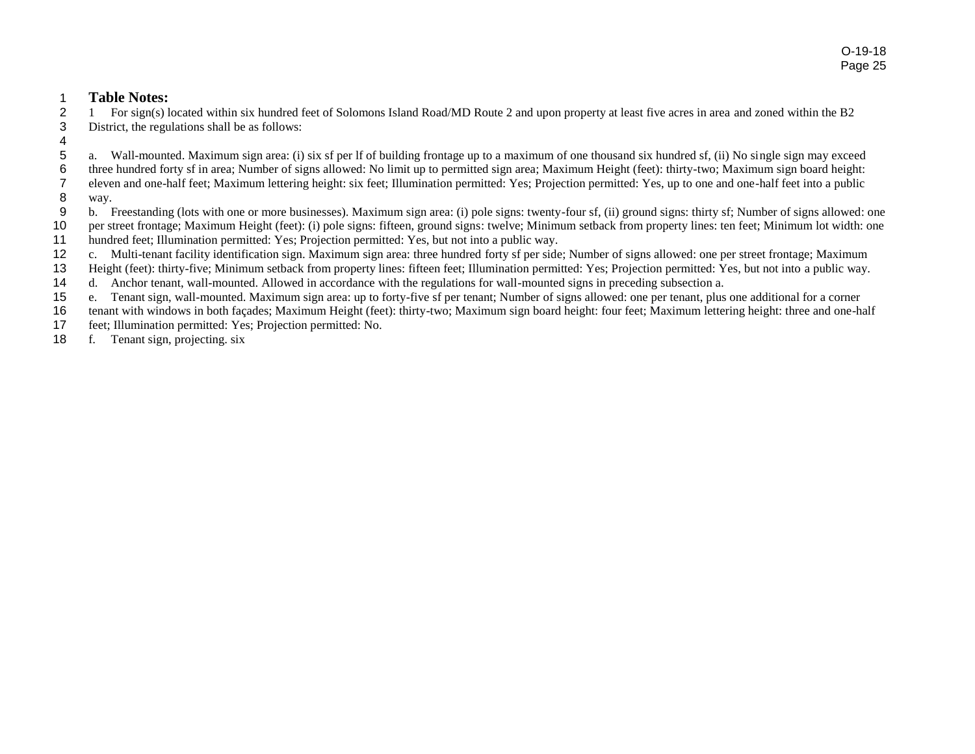#### **Table Notes:**

 1 For sign(s) located within six hundred feet of Solomons Island Road/MD Route 2 and upon property at least five acres in area and zoned within the B2 District, the regulations shall be as follows:

a. Wall-mounted. Maximum sign area: (i) six sf per lf of building frontage up to a maximum of one thousand six hundred sf, (ii) No single sign may exceed

three hundred forty sf in area; Number of signs allowed: No limit up to permitted sign area; Maximum Height (feet): thirty-two; Maximum sign board height:

eleven and one-half feet; Maximum lettering height: six feet; Illumination permitted: Yes; Projection permitted: Yes, up to one and one-half feet into a public

- way.
- b. Freestanding (lots with one or more businesses). Maximum sign area: (i) pole signs: twenty-four sf, (ii) ground signs: thirty sf; Number of signs allowed: one
- per street frontage; Maximum Height (feet): (i) pole signs: fifteen, ground signs: twelve; Minimum setback from property lines: ten feet; Minimum lot width: one
- hundred feet; Illumination permitted: Yes; Projection permitted: Yes, but not into a public way.
- c. Multi-tenant facility identification sign. Maximum sign area: three hundred forty sf per side; Number of signs allowed: one per street frontage; Maximum
- Height (feet): thirty-five; Minimum setback from property lines: fifteen feet; Illumination permitted: Yes; Projection permitted: Yes, but not into a public way.
- d. Anchor tenant, wall-mounted. Allowed in accordance with the regulations for wall-mounted signs in preceding subsection a.
- e. Tenant sign, wall-mounted. Maximum sign area: up to forty-five sf per tenant; Number of signs allowed: one per tenant, plus one additional for a corner
- tenant with windows in both façades; Maximum Height (feet): thirty-two; Maximum sign board height: four feet; Maximum lettering height: three and one-half
- feet; Illumination permitted: Yes; Projection permitted: No.
- f. Tenant sign, projecting. six